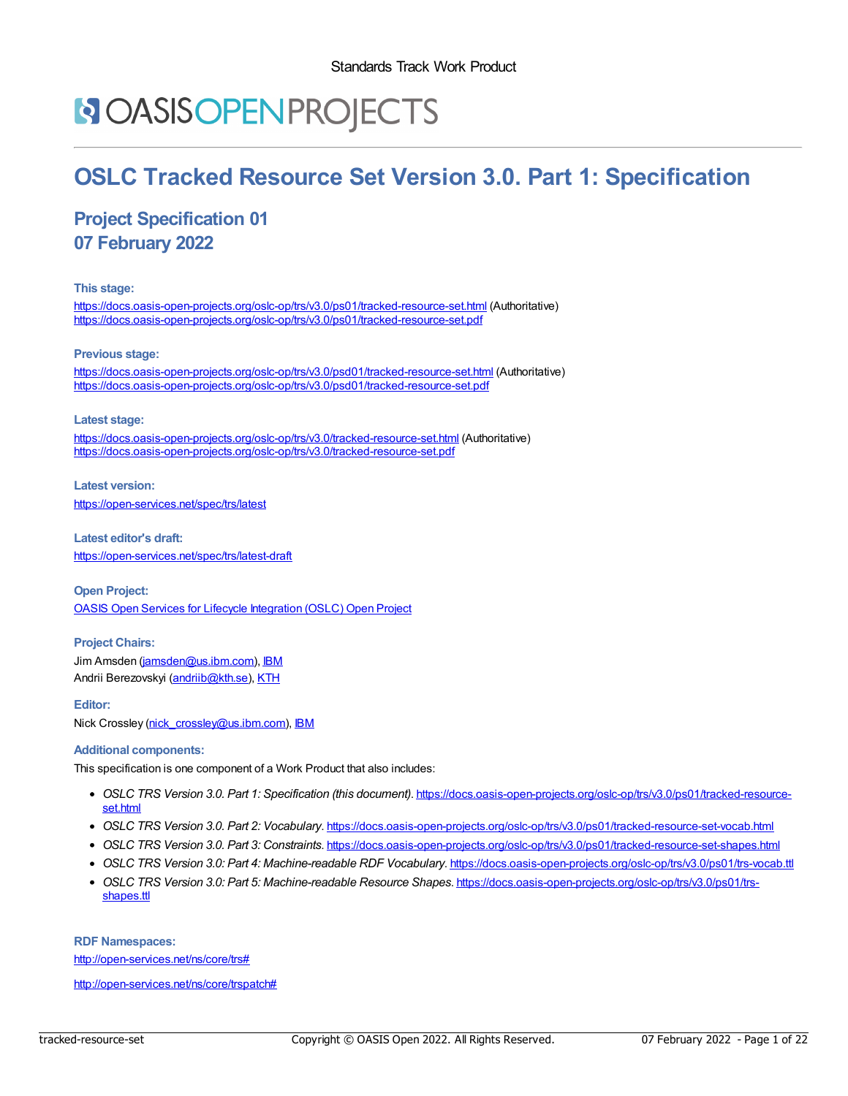# **NOASISOPENPROJECTS**

# **OSLC Tracked Resource Set Version 3.0. Part 1: Specification**

# **Project Specification 01 07 February 2022**

#### **This stage:**

<https://docs.oasis-open-projects.org/oslc-op/trs/v3.0/ps01/tracked-resource-set.html> (Authoritative) <https://docs.oasis-open-projects.org/oslc-op/trs/v3.0/ps01/tracked-resource-set.pdf>

#### **Previous stage:**

<https://docs.oasis-open-projects.org/oslc-op/trs/v3.0/psd01/tracked-resource-set.html> (Authoritative) <https://docs.oasis-open-projects.org/oslc-op/trs/v3.0/psd01/tracked-resource-set.pdf>

#### **Latest stage:**

<https://docs.oasis-open-projects.org/oslc-op/trs/v3.0/tracked-resource-set.html> (Authoritative) <https://docs.oasis-open-projects.org/oslc-op/trs/v3.0/tracked-resource-set.pdf>

**Latest version:** <https://open-services.net/spec/trs/latest>

**Latest editor's draft:** <https://open-services.net/spec/trs/latest-draft>

**Open Project:** OASIS Open Services for Lifecycle [Integration](https://open-services.net/about/) (OSLC) Open Project

### **Project Chairs:**

Jim Amsden [\(jamsden@us.ibm.com](mailto:jamsden@us.ibm.com)), [IBM](https://www.ibm.com/) Andrii Berezovskyi [\(andriib@kth.se](mailto:andriib@kth.se)), [KTH](https://www.kth.se/)

#### **Editor:**

Nick Crossley [\(nick\\_crossley@us.ibm.com](mailto:nick_crossley@us.ibm.com)), [IBM](http://www.ibm.com)

#### **Additional components:**

This specification is one component of a Work Product that also includes:

- *OSLC TRS Version 3.0. Part 1: Specification (this document)*. [https://docs.oasis-open-projects.org/oslc-op/trs/v3.0/ps01/tracked-resource](https://docs.oasis-open-projects.org/oslc-op/trs/v3.0/ps01/tracked-resource-set.html)set.html
- *OSLC TRS Version 3.0. Part 2: Vocabulary*. <https://docs.oasis-open-projects.org/oslc-op/trs/v3.0/ps01/tracked-resource-set-vocab.html>
- *OSLC TRS Version 3.0. Part 3: Constraints*. <https://docs.oasis-open-projects.org/oslc-op/trs/v3.0/ps01/tracked-resource-set-shapes.html>
- *OSLC TRS Version 3.0: Part 4: Machine-readable RDF Vocabulary*. <https://docs.oasis-open-projects.org/oslc-op/trs/v3.0/ps01/trs-vocab.ttl>
- *OSLC TRS Version 3.0: Part 5: Machine-readable Resource Shapes*. [https://docs.oasis-open-projects.org/oslc-op/trs/v3.0/ps01/trs](https://docs.oasis-open-projects.org/oslc-op/trs/v3.0/ps01/trs-shapes.ttl)shapes.ttl

**RDF Namespaces:**

<http://open-services.net/ns/core/trs#>

<http://open-services.net/ns/core/trspatch#>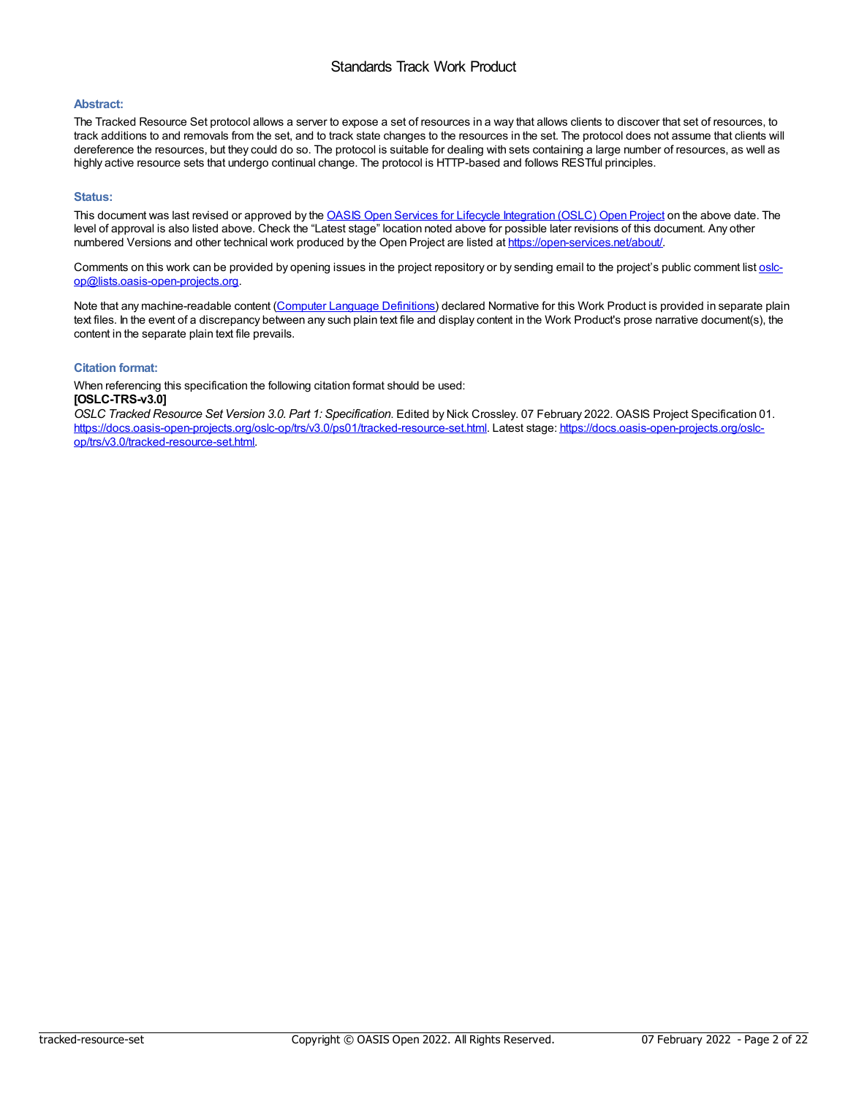### Standards Track Work Product

#### **Abstract:**

The Tracked Resource Set protocol allows a server to expose a set of resources in a way that allows clients to discover that set of resources, to track additions to and removals from the set, and to track state changes to the resources in the set. The protocol does not assume that clients will dereference the resources, but they could do so. The protocol is suitable for dealing with sets containing a large number of resources, as well as highly active resource sets that undergo continual change. The protocol is HTTP-based and follows RESTful principles.

#### **Status:**

This document was last revised or approved by the OASIS Open Services for Lifecycle [Integration](https://open-services.net/about/) (OSLC) Open Project on the above date. The level of approval is also listed above. Check the "Latest stage" location noted above for possible later revisions of this document. Any other numbered Versions and other technical work produced by the Open Project are listed at <https://open-services.net/about/>.

Comments on this work can be provided by opening issues in the project repository or by sending email to the project's public comment list oslc[op@lists.oasis-open-projects.org.](mailto:oslc-op@lists.oasis-open-projects.org)

Note that any machine-readable content (Computer Language [Definitions](https://www.oasis-open.org/policies-guidelines/tc-process-2017-05-26/#wpComponentsCompLang)) declared Normative for this Work Product is provided in separate plain text files. In the event of a discrepancy between any such plain text file and display content in the Work Product's prose narrative document(s), the content in the separate plain text file prevails.

### **Citation format:**

When referencing this specification the following citation format should be used: **[OSLC-TRS-v3.0]**

*OSLC Tracked Resource Set Version 3.0. Part 1: Specification*. Edited by Nick Crossley. 07 February 2022. OASIS Project Specification 01. [https://docs.oasis-open-projects.org/oslc-op/trs/v3.0/ps01/tracked-resource-set.html.](https://docs.oasis-open-projects.org/oslc-op/trs/v3.0/tracked-resource-set.html) Latest stage: https://docs.oasis-open-projects.org/oslcop/trs/v3.0/tracked-resource-set.html.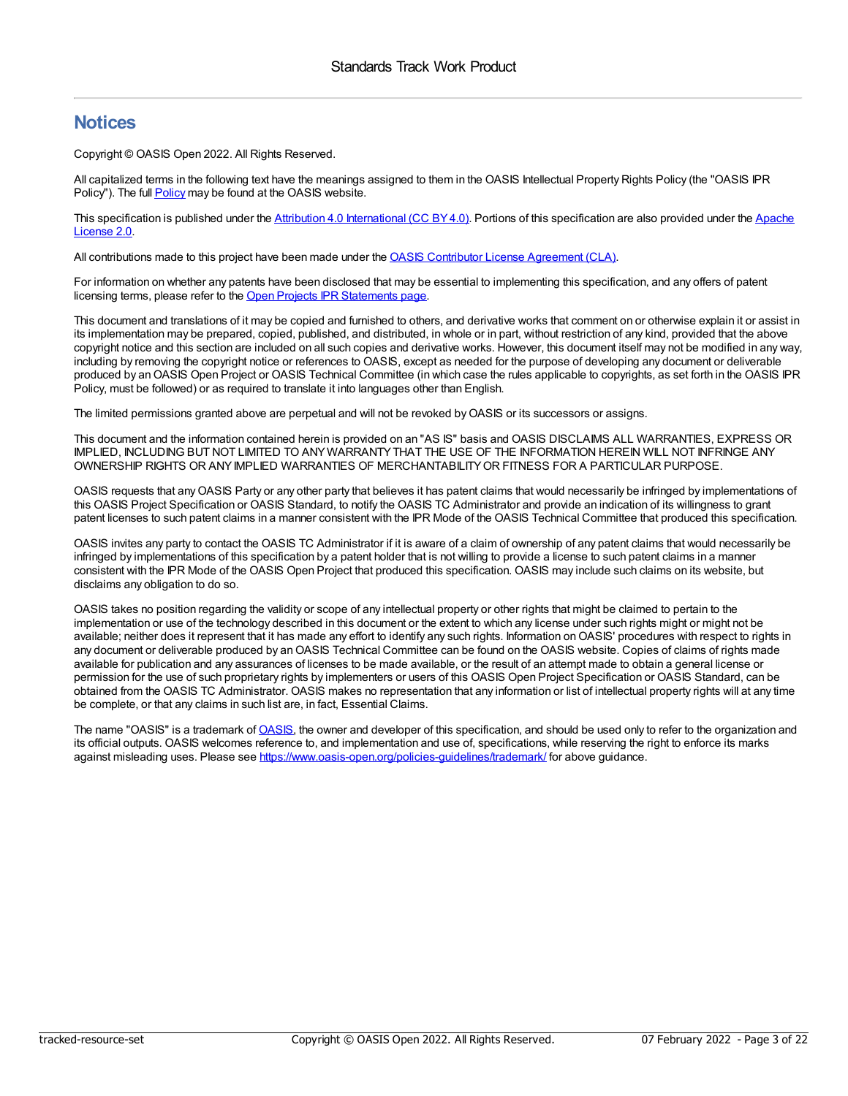# **Notices**

Copyright © OASIS Open 2022. All Rights Reserved.

All capitalized terms in the following text have the meanings assigned to them in the OASIS Intellectual Property Rights Policy (the "OASIS IPR [Policy](https://www.oasis-open.org/policies-guidelines/ipr/)"). The full **Policy** may be found at the OASIS website.

This specification is published under the Attribution 4.0 [International](https://creativecommons.org/licenses/by/4.0/legalcode) (CC BY 4.0). Portions of this [specification](https://www.apache.org/licenses/LICENSE-2.0) are also provided under the Apache License 2.0.

All contributions made to this project have been made under the OASIS Contributor License [Agreement](https://www.oasis-open.org/policies-guidelines/open-projects-process#individual-cla-exhibit) (CLA).

For information on whether any patents have been disclosed that may be essential to implementing this specification, and any offers of patent licensing terms, please refer to the Open Projects IPR [Statements](https://github.com/oasis-open-projects/administration/blob/master/IPR_STATEMENTS.md#open-services-for-lifecycle-collaboration-oslc-open-project) page.

This document and translations of it may be copied and furnished to others, and derivative works that comment on or otherwise explain it or assist in its implementation may be prepared, copied, published, and distributed, in whole or in part, without restriction of any kind, provided that the above copyright notice and this section are included on all such copies and derivative works. However, this document itself may not be modified in any way, including by removing the copyright notice or references to OASIS, except as needed for the purpose of developing any document or deliverable produced by an OASIS Open Project or OASIS Technical Committee (in which case the rules applicable to copyrights, as set forth in the OASIS IPR Policy, must be followed) or as required to translate it into languages other than English.

The limited permissions granted above are perpetual and will not be revoked byOASIS or its successors or assigns.

This document and the information contained herein is provided on an "AS IS" basis and OASIS DISCLAIMS ALL WARRANTIES, EXPRESS OR IMPLIED, INCLUDING BUT NOT LIMITED TO ANYWARRANTYTHAT THE USE OF THE INFORMATION HEREIN WILL NOT INFRINGE ANY OWNERSHIP RIGHTS OR ANYIMPLIED WARRANTIES OF MERCHANTABILITYOR FITNESS FOR A PARTICULAR PURPOSE.

OASIS requests that anyOASIS Party or any other party that believes it has patent claims that would necessarily be infringed by implementations of this OASIS Project Specification or OASIS Standard, to notify the OASIS TC Administrator and provide an indication of its willingness to grant patent licenses to such patent claims in a manner consistent with the IPR Mode of the OASIS Technical Committee that produced this specification.

OASIS invites any party to contact the OASIS TC Administrator if it is aware of a claim of ownership of any patent claims that would necessarily be infringed by implementations of this specification by a patent holder that is not willing to provide a license to such patent claims in a manner consistent with the IPR Mode of the OASIS Open Project that produced this specification. OASIS may include such claims on its website, but disclaims any obligation to do so.

OASIS takes no position regarding the validity or scope of any intellectual property or other rights that might be claimed to pertain to the implementation or use of the technology described in this document or the extent to which any license under such rights might or might not be available; neither does it represent that it has made any effort to identify any such rights. Information on OASIS' procedures with respect to rights in any document or deliverable produced by an OASIS Technical Committee can be found on the OASIS website. Copies of claims of rights made available for publication and any assurances of licenses to be made available, or the result of an attempt made to obtain a general license or permission for the use of such proprietary rights by implementers or users of this OASIS Open Project Specification or OASIS Standard, can be obtained from the OASIS TC Administrator. OASIS makes no representation that any information or list of intellectual property rights will at any time be complete, or that any claims in such list are, in fact, Essential Claims.

The name "OASIS" is a trademark of **OASIS**, the owner and developer of this specification, and should be used only to refer to the organization and its official outputs. OASIS welcomes reference to, and implementation and use of, specifications, while reserving the right to enforce its marks against misleading uses. Please see <https://www.oasis-open.org/policies-guidelines/trademark/> for above guidance.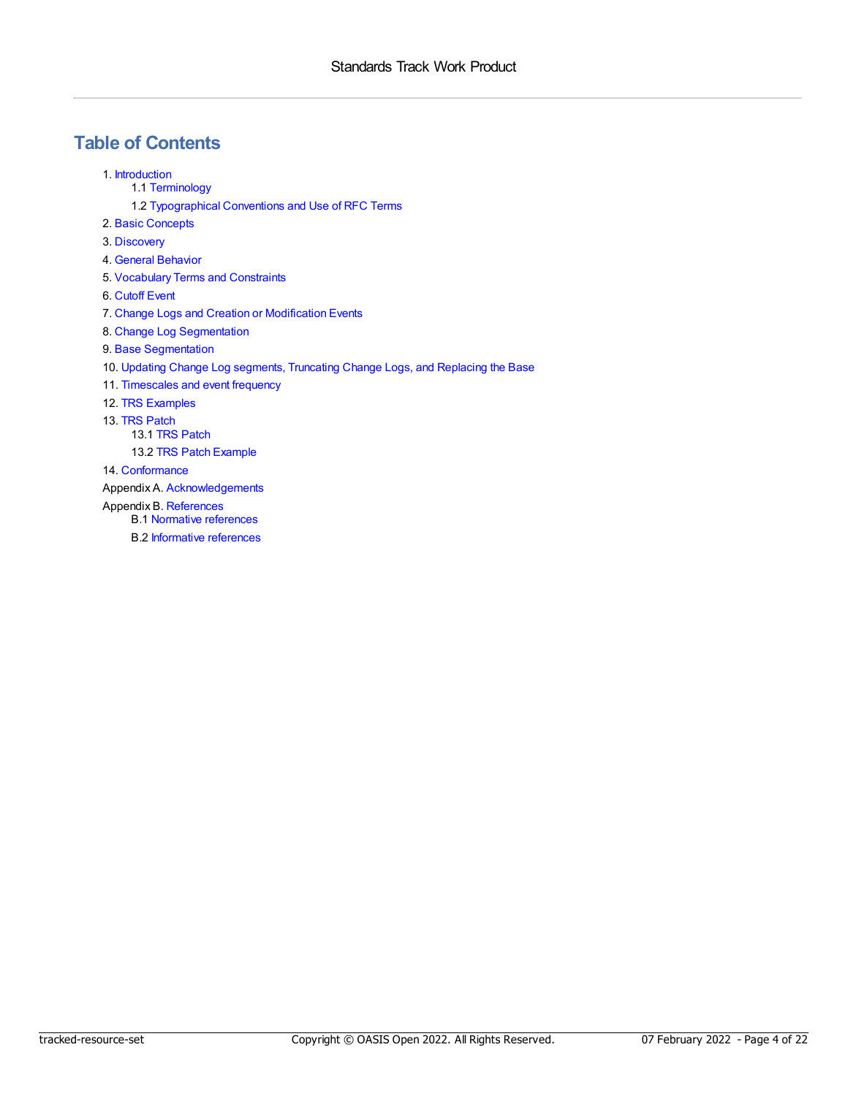# **Table of Contents**

- 1. [Introduction](#page-4-0)
	- 1.1 [Terminology](#page-4-1)
	- 1.2 [Typographical](#page-4-2) Conventions and Use of RFC Terms
- 2. Basic [Concepts](#page-5-0)
- 3. [Discovery](#page-6-0)
- 4. General [Behavior](#page-7-0)
- 5. [Vocabulary](#page-8-0) Terms and Constraints
- 6. [Cutoff](#page-9-0) Event
- 7. Change Logs and Creation or [Modification](#page-10-0) Events
- 8. Change Log [Segmentation](#page-11-0)
- 9. Base [Segmentation](#page-12-0)
- 10. Updating Change Log [segments,](#page-13-0) Truncating Change Logs, and Replacing the Base
- 11. [Timescales](#page-14-0) and event frequency
- 12. TRS [Examples](#page-15-0)
- 13. TRS [Patch](#page-16-0)
	- 13.1 TRS [Patch](#page-16-1)
	- 13.2 TRS Patch [Example](#page-17-0)
- 14. [Conformance](#page-18-0)
- Appendix A. [Acknowledgements](#page-20-0)
- Appendix B. [References](#page-21-0)
	- B.1 Normative [references](#page-21-1)
	- B.2 [Informative](#page-21-2) references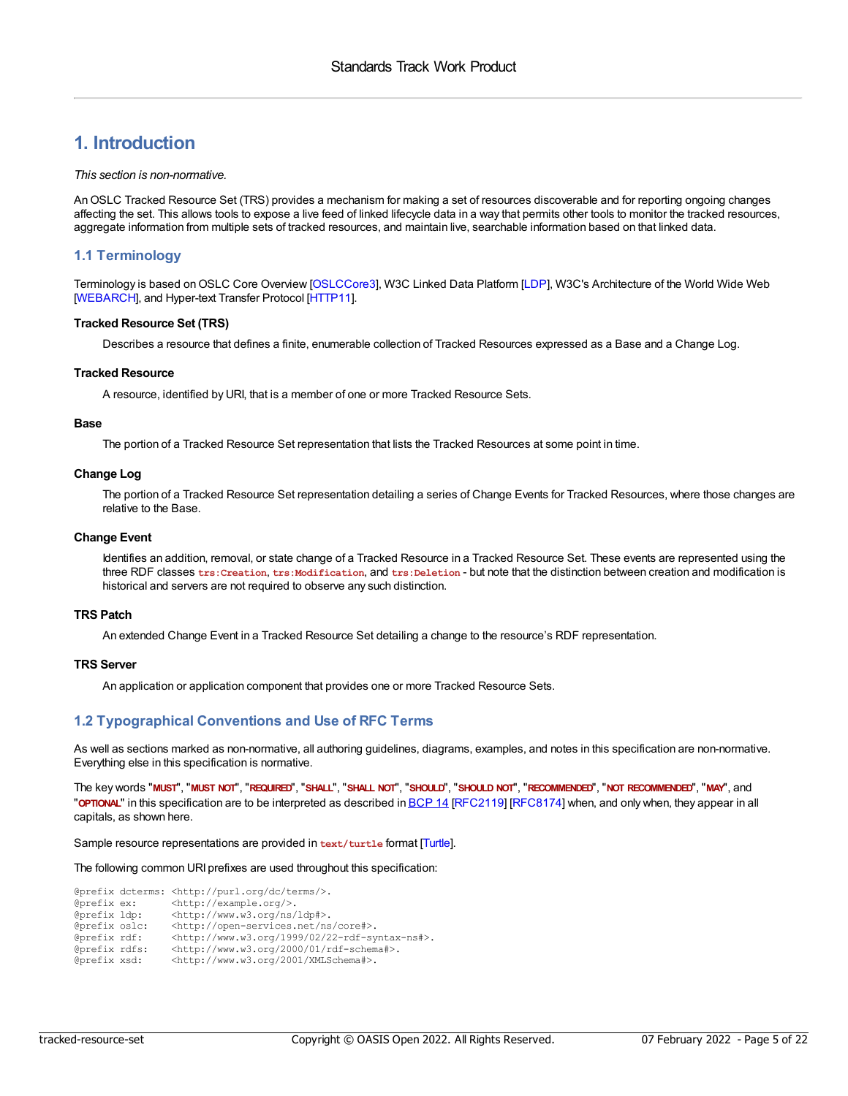# <span id="page-4-0"></span>**1. Introduction**

#### *This section is non-normative.*

AnOSLC Tracked Resource Set (TRS) provides a mechanism for making a set of resources discoverable and for reporting ongoing changes affecting the set. This allows tools to expose a live feed of linked lifecycle data in a way that permits other tools to monitor the tracked resources, aggregate information from multiple sets of tracked resources, and maintain live, searchable information based on that linked data.

### <span id="page-4-1"></span>**1.1 Terminology**

Terminology is based on OSLC Core Overview [[OSLCCore3](#page-21-3)], W3C Linked Data Platform [\[LDP](#page-21-4)], W3C's Architecture of the World Wide Web [\[WEBARCH](#page-21-5)], and Hyper-text Transfer Protocol [[HTTP11\]](#page-21-6).

#### **Tracked Resource Set (TRS)**

Describes a resource that defines a finite, enumerable collection of Tracked Resources expressed as a Base and a Change Log.

#### **Tracked Resource**

A resource, identified by URI, that is a member of one or more Tracked Resource Sets.

#### **Base**

The portion of a Tracked Resource Set representation that lists the Tracked Resources at some point in time.

#### **Change Log**

The portion of a Tracked Resource Set representation detailing a series of Change Events for Tracked Resources, where those changes are relative to the Base.

#### **Change Event**

Identifies an addition, removal, or state change of a Tracked Resource in a Tracked Resource Set. These events are represented using the three RDF classes **trs:Creation**, **trs:Modification**, and **trs:Deletion** - but note that the distinction between creation and modification is historical and servers are not required to observe any such distinction.

#### **TRS Patch**

An extended Change Event in a Tracked Resource Set detailing a change to the resource's RDF representation.

#### **TRS Server**

An application or application component that provides one or more Tracked Resource Sets.

### <span id="page-4-2"></span>**1.2 Typographical Conventions and Use of RFC Terms**

As well as sections marked as non-normative, all authoring guidelines, diagrams, examples, and notes in this specification are non-normative. Everything else in this specification is normative.

The key words "MUST", "MUST NOT", "REQUIRED", "SHALL", "SHALL NOT", "SHOULD", "SHOULD NOT", "RECOMMENDED", "MOT RECOMMENDED", "MAY", and "**OPTIONAL**" in this specification are to be interpreted as described in [BCP](https://tools.ietf.org/html/bcp14) 14 [\[RFC2119](#page-21-7)] [\[RFC8174](#page-21-8)] when, and only when, they appear in all capitals, as shown here.

Sample resource representations are provided in **text/turtle** format [\[Turtle](#page-21-9)].

The following common URI prefixes are used throughout this specification:

|               | @prefix dcterms: <http: dc="" purl.org="" terms=""></http:> .     |
|---------------|-------------------------------------------------------------------|
| @prefix ex:   | <http: example.org=""></http:> .                                  |
| @prefix ldp:  | <http: ldp#="" ns="" www.w3.org="">.</http:>                      |
| @prefix oslc: | <http: core#="" ns="" open-services.net="">.</http:>              |
| @prefix rdf:  | <http: 02="" 1999="" 22-rdf-syntax-ns#="" www.w3.org="">.</http:> |
| @prefix rdfs: | <http: 01="" 2000="" rdf-schema#="" www.w3.org="">.</http:>       |
| @prefix xsd:  | <http: 2001="" www.w3.org="" xmlschema#="">.</http:>              |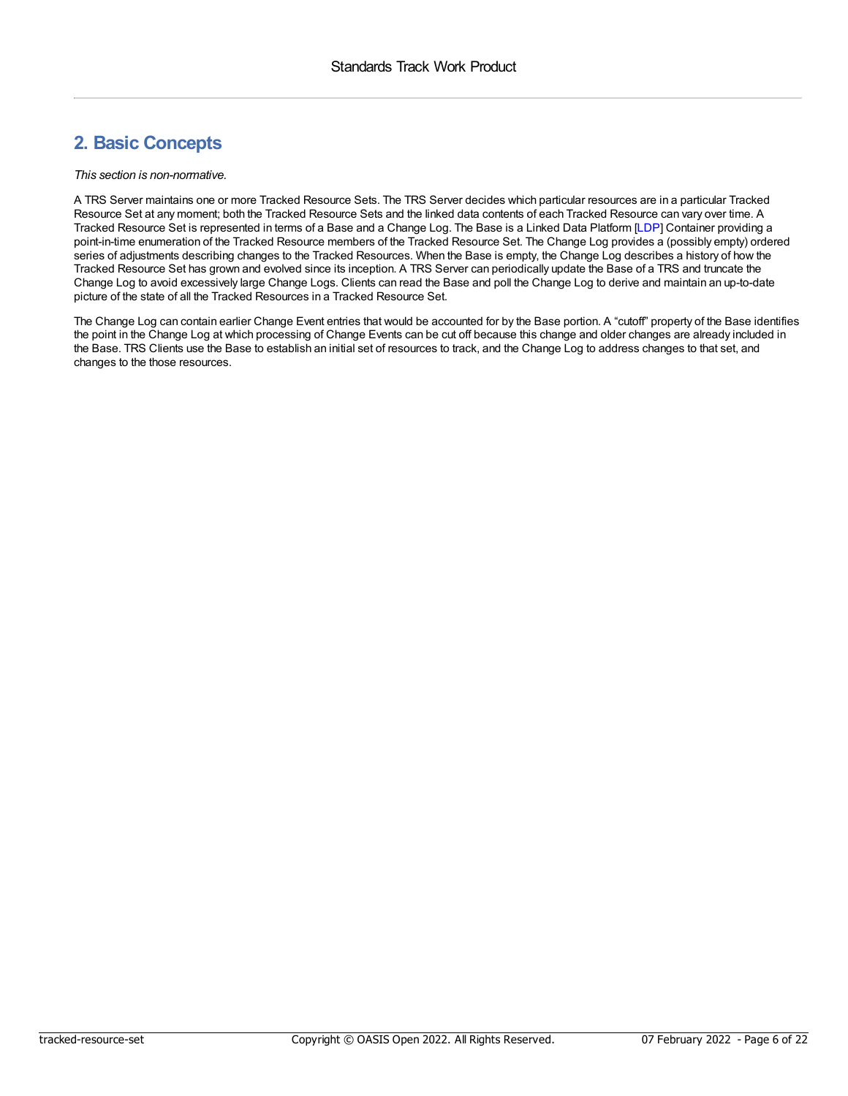# <span id="page-5-0"></span>**2. Basic Concepts**

#### *This section is non-normative.*

A TRS Server maintains one or more Tracked Resource Sets. The TRS Server decides which particular resources are in a particular Tracked Resource Set at any moment; both the Tracked Resource Sets and the linked data contents of each Tracked Resource can vary over time. A Tracked Resource Set is represented in terms of a Base and a Change Log. The Base is a Linked Data Platform [\[LDP](#page-21-4)] Container providing a point-in-time enumeration of the Tracked Resource members of the Tracked Resource Set. The Change Log provides a (possibly empty) ordered series of adjustments describing changes to the Tracked Resources. When the Base is empty, the Change Log describes a history of how the Tracked Resource Set has grown and evolved since its inception. A TRS Server can periodically update the Base of a TRS and truncate the Change Log to avoid excessively large Change Logs. Clients can read the Base and poll the Change Log to derive and maintain an up-to-date picture of the state of all the Tracked Resources in a Tracked Resource Set.

The Change Log can contain earlier Change Event entries that would be accounted for by the Base portion. A "cutoff" property of the Base identifies the point in the Change Log at which processing of Change Events can be cut off because this change and older changes are already included in the Base. TRS Clients use the Base to establish an initial set of resources to track, and the Change Log to address changes to that set, and changes to the those resources.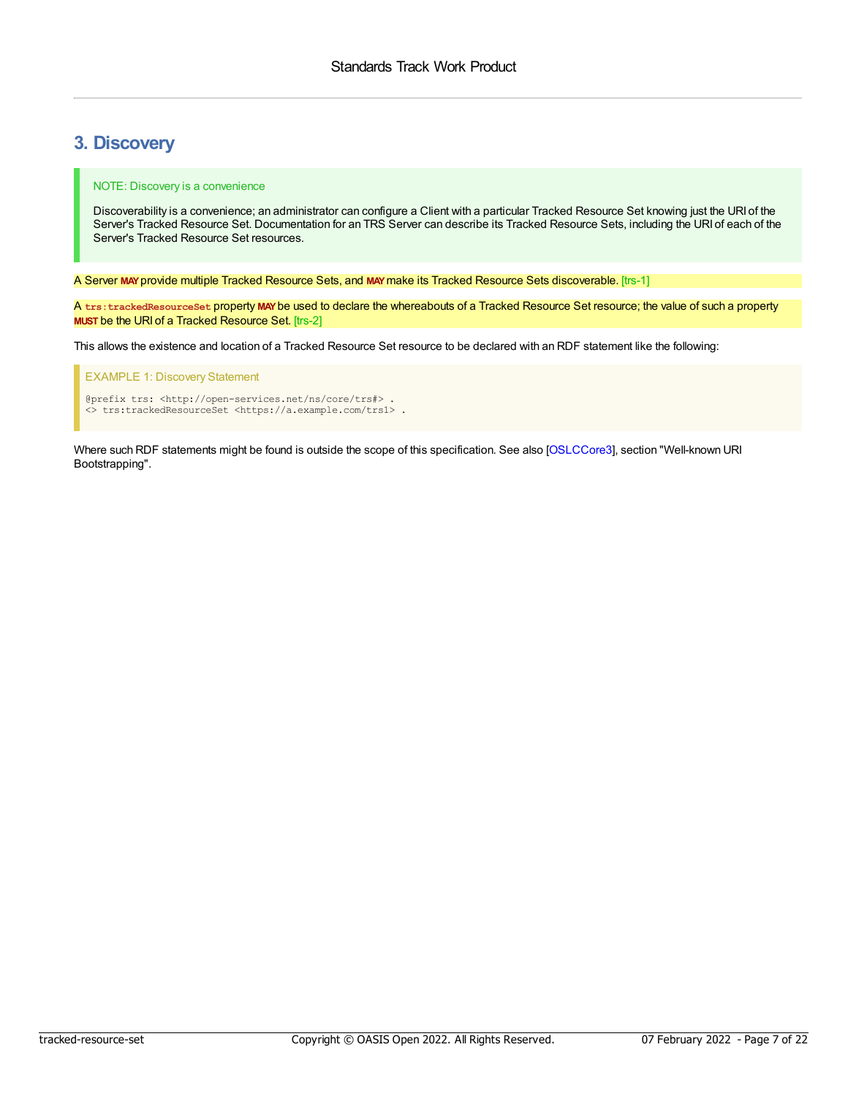# <span id="page-6-0"></span>**3. Discovery**

#### NOTE: Discovery is a convenience

Discoverability is a convenience; an administrator can configure a Client with a particular Tracked Resource Set knowing just the URI of the Server's Tracked Resource Set. Documentation for an TRS Server can describe its Tracked Resource Sets, including the URI of each of the Server's Tracked Resource Set resources.

<span id="page-6-1"></span>A Server **MAY**provide multiple Tracked Resource Sets, and **MAY**make its Tracked Resource Sets discoverable. [trs-1]

<span id="page-6-2"></span>A **trs:trackedResourceSet** property **MAY**be used to declare the whereabouts of a Tracked Resource Set resource; the value of such a property **MUST** be the URI of a Tracked Resource Set. [trs-2]

This allows the existence and location of a Tracked Resource Set resource to be declared with an RDF statement like the following:

#### EXAMPLE 1: Discovery Statement

@prefix trs: <http://open-services.net/ns/core/trs#> . <> trs:trackedResourceSet <https://a.example.com/trs1> .

Where such RDF statements might be found is outside the scope of this specification. See also [\[OSLCCore3](#page-21-3)], section "Well-known URI Bootstrapping".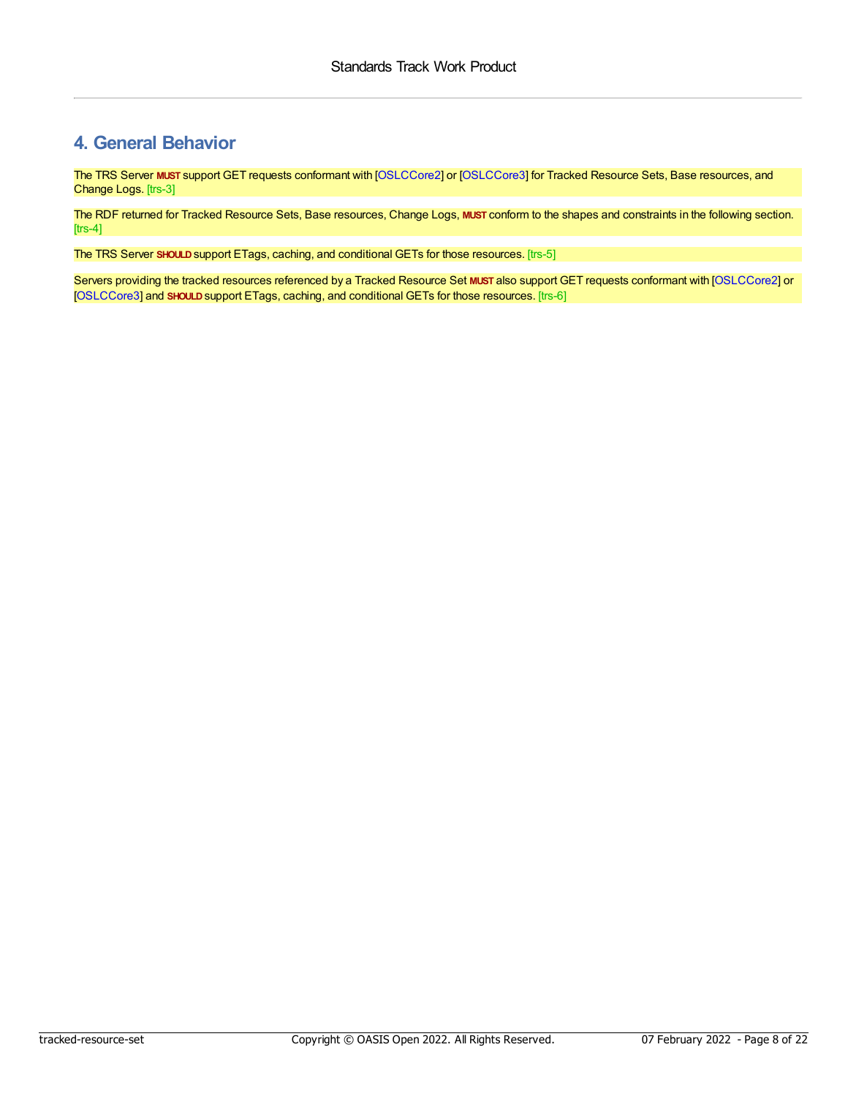# <span id="page-7-0"></span>**4. General Behavior**

<span id="page-7-1"></span>The TRS Server **MUST** support GET requests conformant with [\[OSLCCore2](#page-21-10)] or [\[OSLCCore3](#page-21-3)] for Tracked Resource Sets, Base resources, and Change Logs. [trs-3]

<span id="page-7-2"></span>The RDF returned for Tracked Resource Sets, Base resources, Change Logs, **MUST** conform to the shapes and constraints in the following section.  $[$ trs-4 $]$ 

<span id="page-7-3"></span>The TRS Server **SHOULD**support ETags, caching, and conditional GETs for those resources. [trs-5]

<span id="page-7-4"></span>Servers providing the tracked resources referenced by a Tracked Resource Set **MUST** also support GET requests conformant with [\[OSLCCore2](#page-21-10)] or [\[OSLCCore3](#page-21-3)] and **SHOULD**support ETags, caching, and conditional GETs for those resources. [trs-6]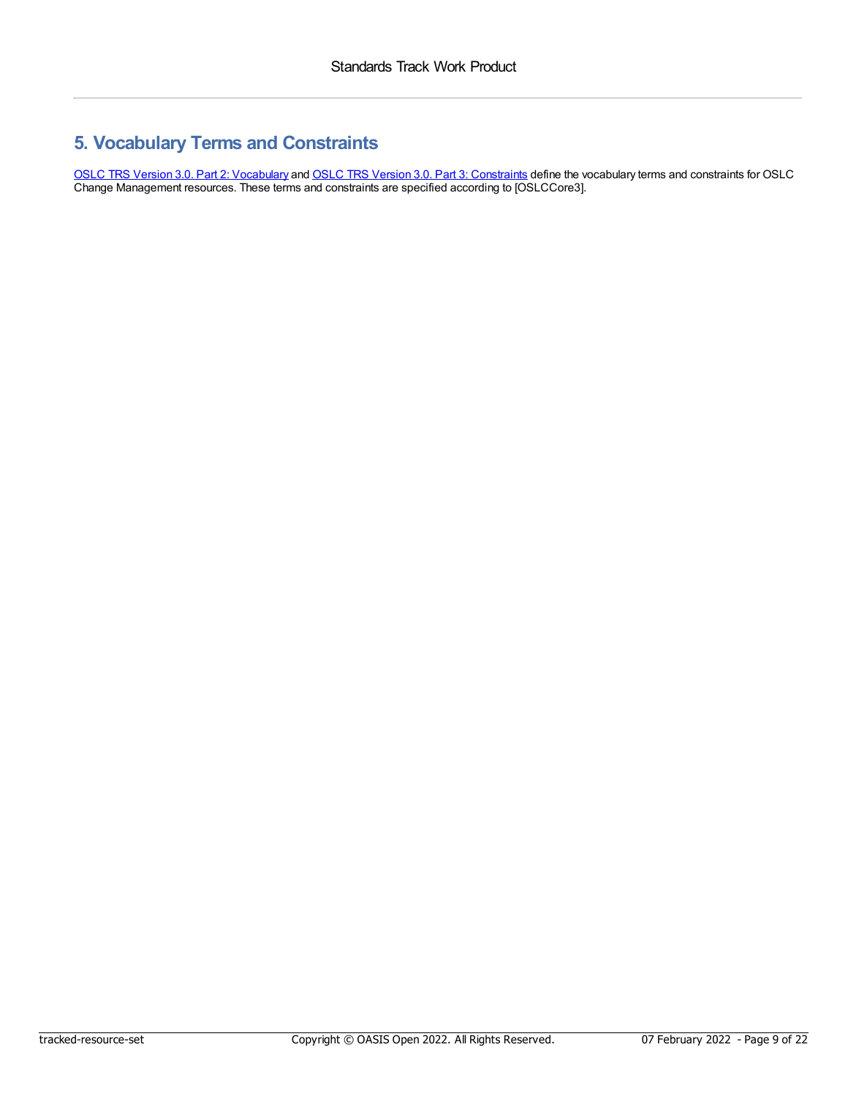# <span id="page-8-0"></span>**5. Vocabulary Terms and Constraints**

OSLC TRS Version 3.0. Part 2: [Vocabulary](https://docs.oasis-open-projects.org/oslc-op/trs/v3.0/ps01/tracked-resource-set-vocab.html) and OSLC TRS Version 3.0. Part 3: [Constraints](https://docs.oasis-open-projects.org/oslc-op/trs/v3.0/ps01/tracked-resource-set-shapes.html) define the vocabulary terms and constraints for OSLC Change Management resources. These terms and constraints are specified according to [OSLCCore3].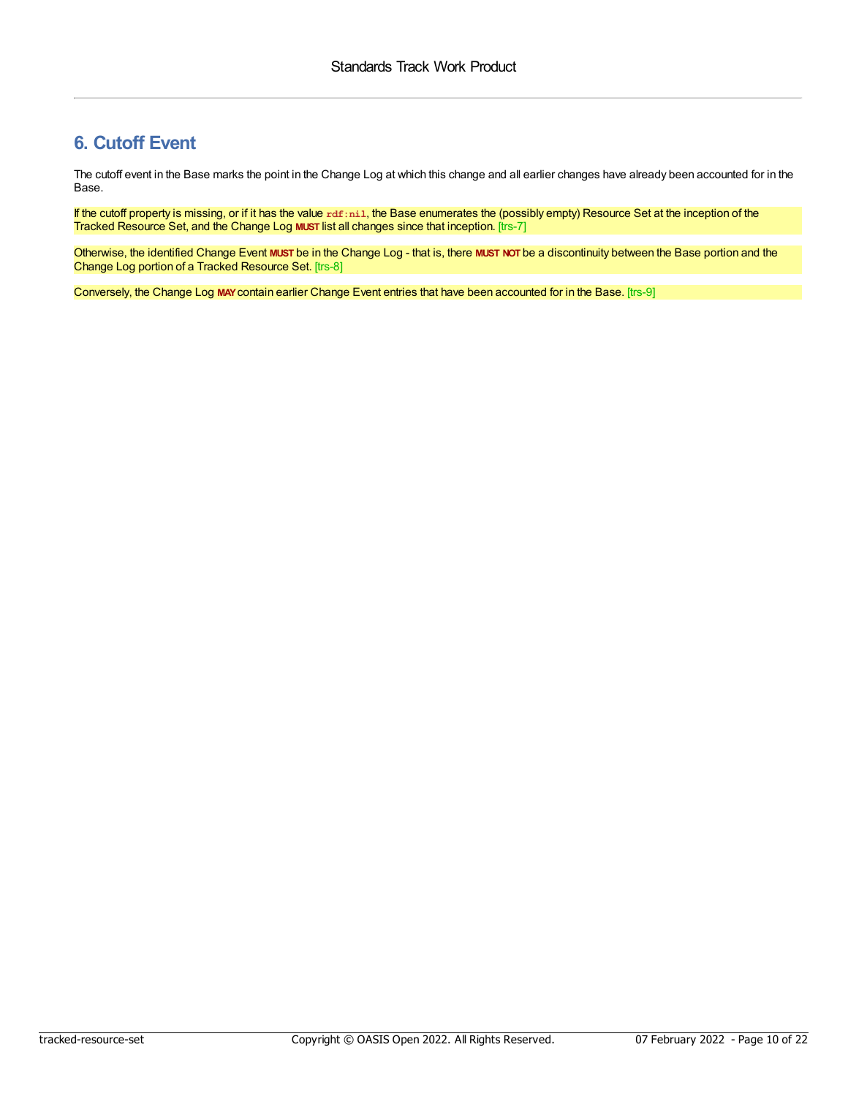# <span id="page-9-0"></span>**6. Cutoff Event**

The cutoff event in the Base marks the point in the Change Log at which this change and all earlier changes have already been accounted for in the Base.

<span id="page-9-1"></span>If the cutoff property is missing, or if it has the value rdf:nil, the Base enumerates the (possibly empty) Resource Set at the inception of the Tracked Resource Set, and the Change Log **MUST** list all changes since that inception. [trs-7]

<span id="page-9-2"></span>Otherwise, the identified Change Event **MUST** be in the Change Log - that is, there **MUST NOT** be a discontinuity between the Base portion and the Change Log portion of a Tracked Resource Set. [trs-8]

<span id="page-9-3"></span>Conversely, the Change Log **MAY**contain earlier Change Event entries that have been accounted for in the Base. [trs-9]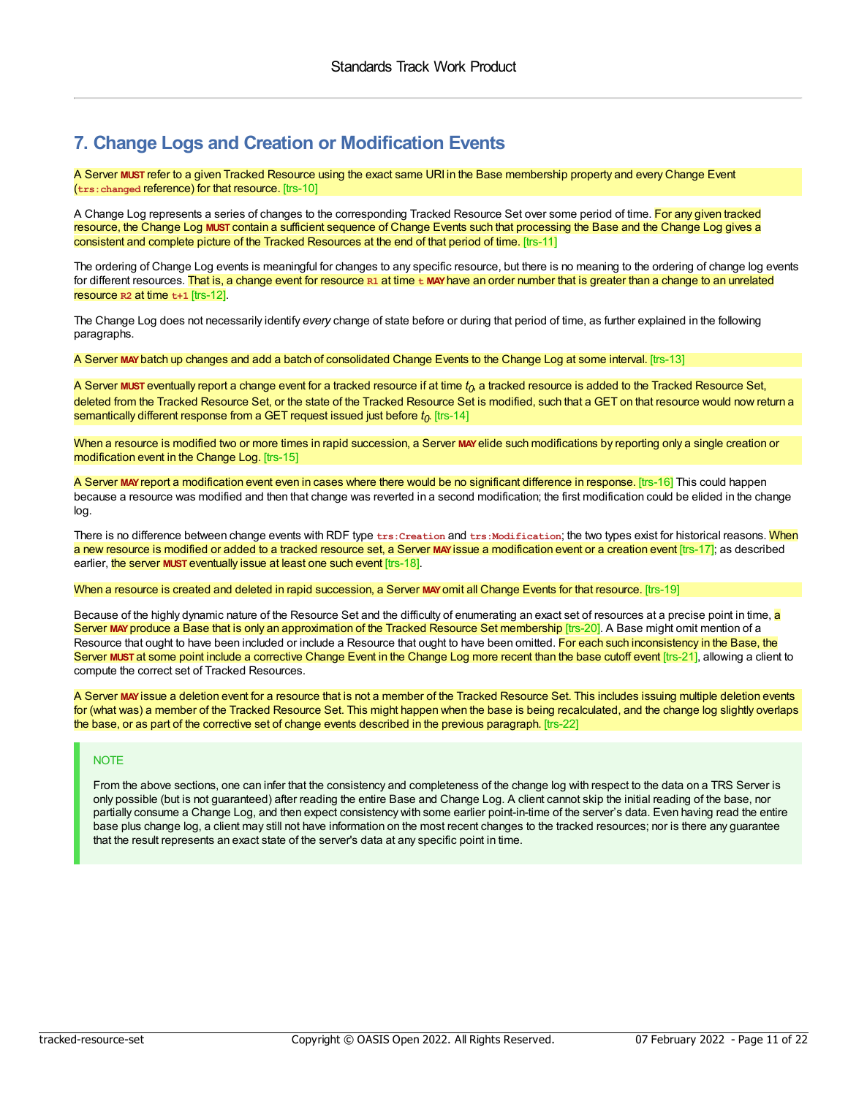# <span id="page-10-0"></span>**7. Change Logs and Creation or Modification Events**

<span id="page-10-1"></span>A Server **MUST** refer to a given Tracked Resource using the exact same URI in the Base membership property and every Change Event (**trs:changed** reference) for that resource. [trs-10]

<span id="page-10-2"></span>A Change Log represents a series of changes to the corresponding Tracked Resource Set over some period of time. For any given tracked resource, the Change Log **MUST** contain a sufficient sequence of Change Events such that processing the Base and the Change Log gives a consistent and complete picture of the Tracked Resources at the end of that period of time. [trs-11]

<span id="page-10-3"></span>The ordering of Change Log events is meaningful for changes to any specific resource, but there is no meaning to the ordering of change log events for different resources. That is, a change event for resource **R1** at time **t MAY**have an order number that is greater than a change to an unrelated resource **R2** at time **t+1** [trs-12].

The Change Log does not necessarily identify *every* change of state before or during that period of time, as further explained in the following paragraphs.

<span id="page-10-4"></span>A Server **MAY**batch up changes and add a batch of consolidated Change Events to the Change Log at some interval. [trs-13]

<span id="page-10-5"></span>A Server **MUST** eventually report a change event for a tracked resource if at time  $t_0$ , a tracked resource is added to the Tracked Resource Set, deleted from the Tracked Resource Set, or the state of the Tracked Resource Set is modified, such that a GET on that resource would now return a semantically different response from a GET request issued just before *t0* . [trs-14]

<span id="page-10-6"></span>When a resource is modified two or more times in rapid succession, a Server **MAY**elide such modifications by reporting only a single creation or modification event in the Change Log. [trs-15]

<span id="page-10-7"></span>A Server **MAY**report a modification event even in cases where there would be no significant difference in response. [trs-16] This could happen because a resource was modified and then that change was reverted in a second modification; the first modification could be elided in the change log.

<span id="page-10-9"></span><span id="page-10-8"></span>There is no difference between change events with RDF type  $txs:Cration$  and  $txs:Modification$ ; the two types exist for historical reasons. When a new resource is modified or added to a tracked resource set, a Server **MAY**issue a modification event or a creation event [trs-17]; as described earlier, the server **MUST** eventually issue at least one such event [trs-18].

<span id="page-10-10"></span>When a resource is created and deleted in rapid succession, a Server **MAY**omit all Change Events for that resource. [trs-19]

<span id="page-10-12"></span><span id="page-10-11"></span>Because of the highly dynamic nature of the Resource Set and the difficulty of enumerating an exact set of resources at a precise point in time, <mark>a</mark> Server MAY produce a Base that is only an approximation of the Tracked Resource Set membership [trs-20]. A Base might omit mention of a Resource that ought to have been included or include a Resource that ought to have been omitted. For each such inconsistency in the Base, the Server **MUST** at some point include a corrective Change Event in the Change Log more recent than the base cutoff event [trs-21], allowing a client to compute the correct set of Tracked Resources.

<span id="page-10-13"></span>A Server **MAY**issue a deletion event for a resource that is not a member of the Tracked Resource Set. This includes issuing multiple deletion events for (what was) a member of the Tracked Resource Set. This might happen when the base is being recalculated, and the change log slightly overlaps the base, or as part of the corrective set of change events described in the previous paragraph. [trs-22]

### **NOTE**

From the above sections, one can infer that the consistency and completeness of the change log with respect to the data on a TRS Server is only possible (but is not guaranteed) after reading the entire Base and Change Log. A client cannot skip the initial reading of the base, nor partially consume a Change Log, and then expect consistency with some earlier point-in-time of the server's data. Even having read the entire base plus change log, a client may still not have information on the most recent changes to the tracked resources; nor is there any guarantee that the result represents an exact state of the server's data at any specific point in time.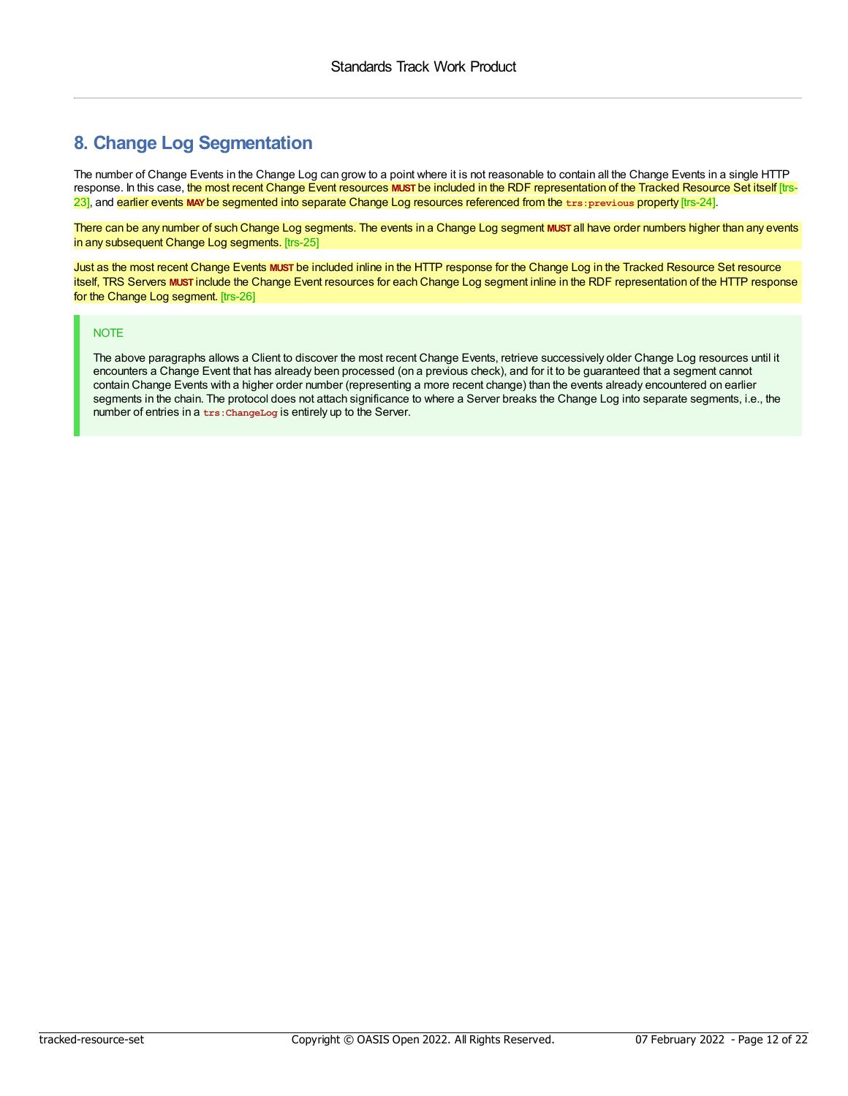# <span id="page-11-0"></span>**8. Change Log Segmentation**

<span id="page-11-2"></span><span id="page-11-1"></span>The number of Change Events in the Change Log can grow to a point where it is not reasonable to contain all the Change Events in a single HTTP response. In this case, the most recent Change Event resources **MUST** be included in the RDF representation of the Tracked Resource Set itself [trs-23], and earlier events **MAY**be segmented into separate Change Log resources referenced from the **trs:previous** property [trs-24].

<span id="page-11-3"></span>There can be any number of such Change Log segments. The events in a Change Log segment **MUST** all have order numbers higher than any events in any subsequent Change Log segments. [trs-25]

<span id="page-11-4"></span>Just as the most recent Change Events **MUST** be included inline in the HTTP response for the Change Log in the Tracked Resource Set resource itself, TRS Servers **MUST** include the Change Event resources for each Change Log segment inline in the RDF representation of the HTTP response for the Change Log segment. [trs-26]

### NOTE

The above paragraphs allows a Client to discover the most recent Change Events, retrieve successively older Change Log resources until it encounters a Change Event that has already been processed (on a previous check), and for it to be guaranteed that a segment cannot contain Change Events with a higher order number (representing a more recent change) than the events already encountered on earlier segments in the chain. The protocol does not attach significance to where a Server breaks the Change Log into separate segments, i.e., the number of entries in a **trs:ChangeLog** is entirely up to the Server.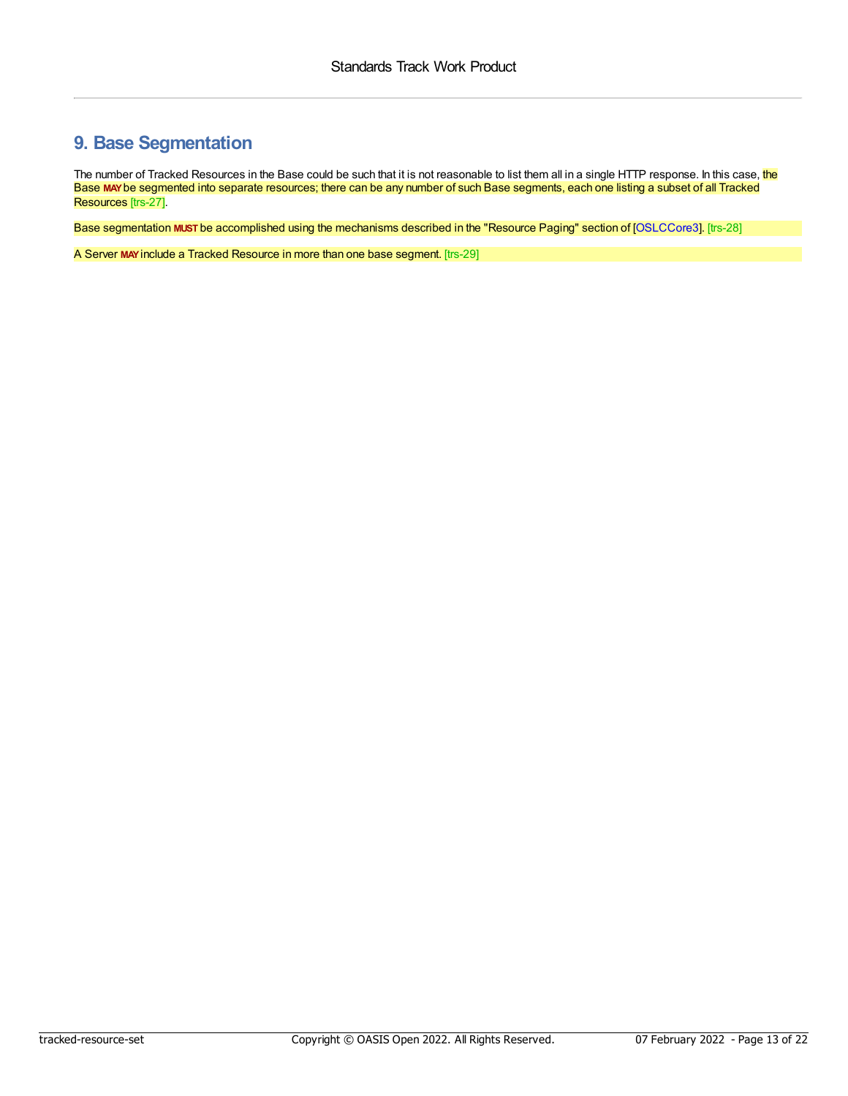# <span id="page-12-0"></span>**9. Base Segmentation**

<span id="page-12-1"></span>The number of Tracked Resources in the Base could be such that it is not reasonable to list them all in a single HTTP response. In this case, the Base **MAY**be segmented into separate resources; there can be any number of such Base segments, each one listing a subset of all Tracked Resources [trs-27].

<span id="page-12-2"></span>Base segmentation **MUST** be accomplished using the mechanisms described in the "Resource Paging" section of [\[OSLCCore3](#page-21-3)]. [trs-28]

<span id="page-12-3"></span>A Server **MAY**include a Tracked Resource in more than one base segment. [trs-29]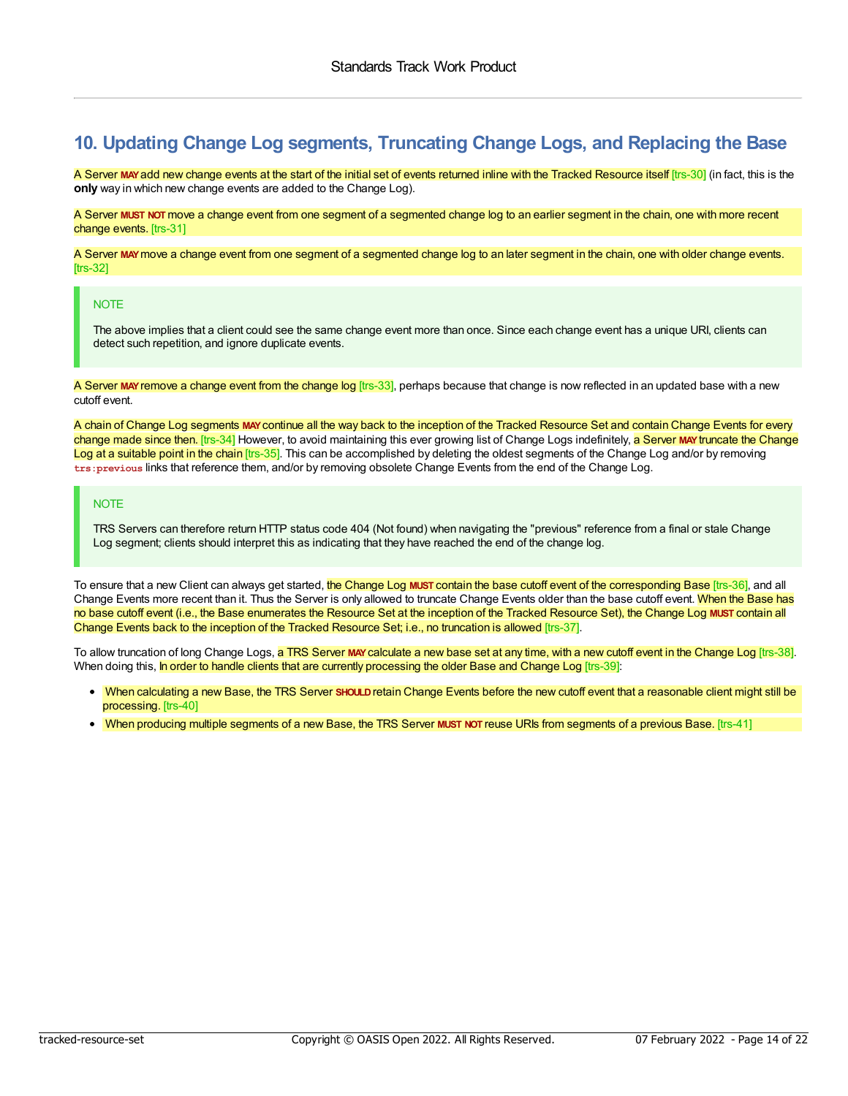# <span id="page-13-0"></span>**10. Updating Change Log segments, Truncating Change Logs, and Replacing the Base**

<span id="page-13-1"></span>A Server MAY add new change events at the start of the initial set of events returned inline with the Tracked Resource itself [trs-30] (in fact, this is the **only** way in which new change events are added to the Change Log).

<span id="page-13-2"></span>A Server **MUST NOT**move a change event from one segment of a segmented change log to an earlier segment in the chain, one with more recent change events. [trs-31]

<span id="page-13-3"></span>A Server **MAY**move a change event from one segment of a segmented change log to an later segment in the chain, one with older change events. [trs-32]

#### **NOTE**

The above implies that a client could see the same change event more than once. Since each change event has a unique URI, clients can detect such repetition, and ignore duplicate events.

<span id="page-13-4"></span>A Server MAY remove a change event from the change log [trs-33], perhaps because that change is now reflected in an updated base with a new cutoff event.

<span id="page-13-6"></span><span id="page-13-5"></span>A chain of Change Log segments **MAY**continue all the way back to the inception of the Tracked Resource Set and contain Change Events for every change made since then. [trs-34] However, to avoid maintaining this ever growing list of Change Logs indefinitely, a Server **MAY**truncate the Change Log at a suitable point in the chain [trs-35]. This can be accomplished by deleting the oldest segments of the Change Log and/or by removing **trs:previous** links that reference them, and/or by removing obsolete Change Events from the end of the Change Log.

#### **NOTE**

<span id="page-13-7"></span>TRS Servers can therefore return HTTP status code 404 (Not found) when navigating the "previous" reference from a final or stale Change Log segment; clients should interpret this as indicating that they have reached the end of the change log.

<span id="page-13-8"></span>To ensure that a new Client can always get started, the Change Log **MUST** contain the base cutoff event of the corresponding Base [trs-36], and all Change Events more recent than it. Thus the Server is only allowed to truncate Change Events older than the base cutoff event. When the Base has no base cutoff event (i.e., the Base enumerates the Resource Set at the inception of the Tracked Resource Set), the Change Log **MUST** contain all Change Events back to the inception of the Tracked Resource Set; i.e., no truncation is allowed [trs-37].

To allow truncation of long Change Logs, a TRS Server **MAY**calculate a new base set at any time, with a new cutoff event in the Change Log [trs-38]. When doing this, In order to handle clients that are currently processing the older Base and Change Log [trs-39]:

- <span id="page-13-11"></span><span id="page-13-10"></span><span id="page-13-9"></span>When calculating a new Base, the TRS Server **SHOULD**retain Change Events before the new cutoff event that a reasonable client might still be processing. [trs-40]
- <span id="page-13-12"></span>When producing multiple segments of a new Base, the TRS Server **MUST NOT** reuse URIs from segments of a previous Base. [trs-41]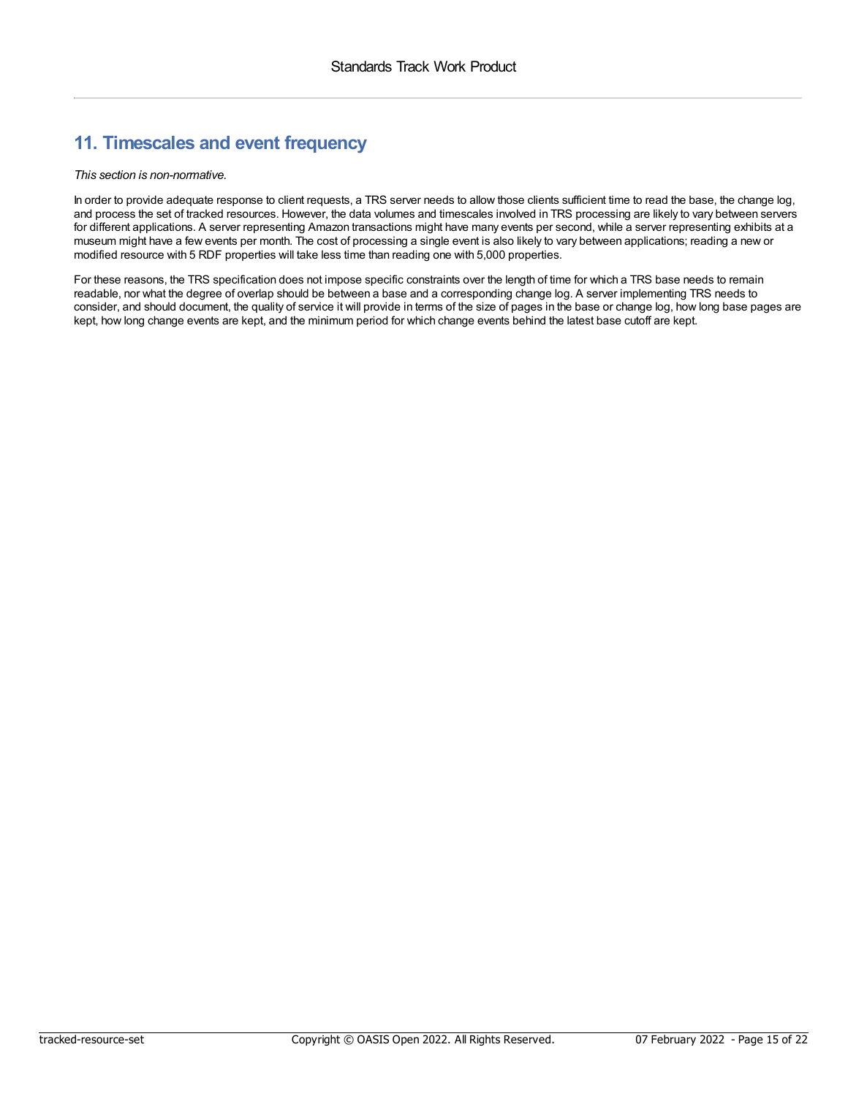# <span id="page-14-0"></span>**11. Timescales and event frequency**

*This section is non-normative.*

In order to provide adequate response to client requests, a TRS server needs to allow those clients sufficient time to read the base, the change log, and process the set of tracked resources. However, the data volumes and timescales involved in TRS processing are likely to vary between servers for different applications. A server representing Amazon transactions might have many events per second, while a server representing exhibits at a museum might have a few events per month. The cost of processing a single event is also likely to vary between applications; reading a new or modified resource with 5 RDF properties will take less time than reading one with 5,000 properties.

For these reasons, the TRS specification does not impose specific constraints over the length of time for which a TRS base needs to remain readable, nor what the degree of overlap should be between a base and a corresponding change log. A server implementing TRS needs to consider, and should document, the quality of service it will provide in terms of the size of pages in the base or change log, how long base pages are kept, how long change events are kept, and the minimum period for which change events behind the latest base cutoff are kept.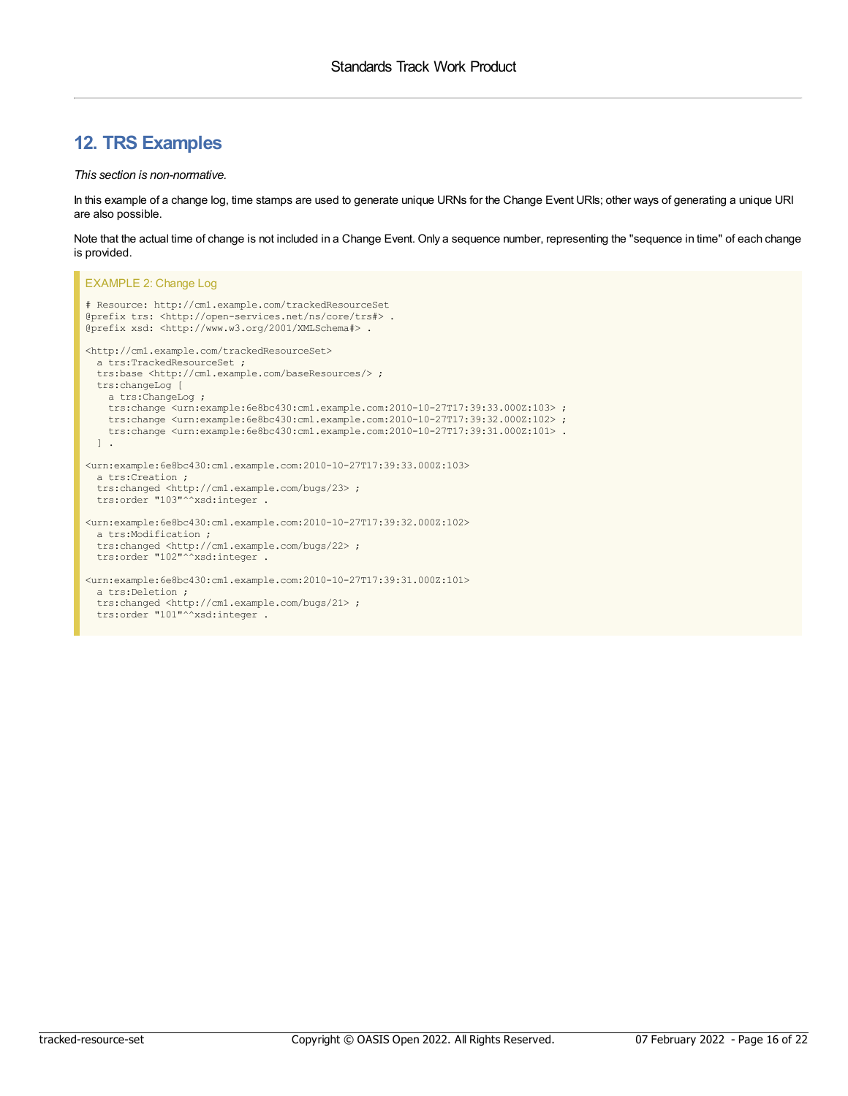# <span id="page-15-0"></span>**12. TRS Examples**

#### *This section is non-normative.*

In this example of a change log, time stamps are used to generate unique URNs for the Change Event URIs; other ways of generating a unique URI are also possible.

Note that the actual time of change is not included in a Change Event. Only a sequence number, representing the "sequence in time" of each change is provided.

```
EXAMPLE 2: Change Log
# Resource: http://cm1.example.com/trackedResourceSet
@prefix trs: <http://open-services.net/ns/core/trs#> .
@prefix xsd: <http://www.w3.org/2001/XMLSchema#> .
<http://cm1.example.com/trackedResourceSet>
 a trs:TrackedResourceSet ;
  trs:base <http://cm1.example.com/baseResources/> ;
  trs:changeLog [
   a trs:ChangeLog ;
   trs:change <urn:example:6e8bc430:cm1.example.com:2010-10-27T17:39:33.000Z:103> ;
   trs:change <urn:example:6e8bc430:cm1.example.com:2010-10-27T17:39:32.000Z:102> ;
    trs:change <urn:example:6e8bc430:cm1.example.com:2010-10-27T17:39:31.000Z:101> .
  ] .
<urn:example:6e8bc430:cm1.example.com:2010-10-27T17:39:33.000Z:103>
 a trs:Creation ;
  trs:changed <http://cm1.example.com/bugs/23> ;
  trs:order "103"^^xsd:integer .
<urn:example:6e8bc430:cm1.example.com:2010-10-27T17:39:32.000Z:102>
  a trs:Modification ;
  trs:changed <http://cm1.example.com/bugs/22> ;
 trs:order "102"^^xsd:integer .
<urn:example:6e8bc430:cm1.example.com:2010-10-27T17:39:31.000Z:101>
  a trs:Deletion ;
  trs:changed <http://cm1.example.com/bugs/21> ;
  trs:order "101"^^xsd:integer .
```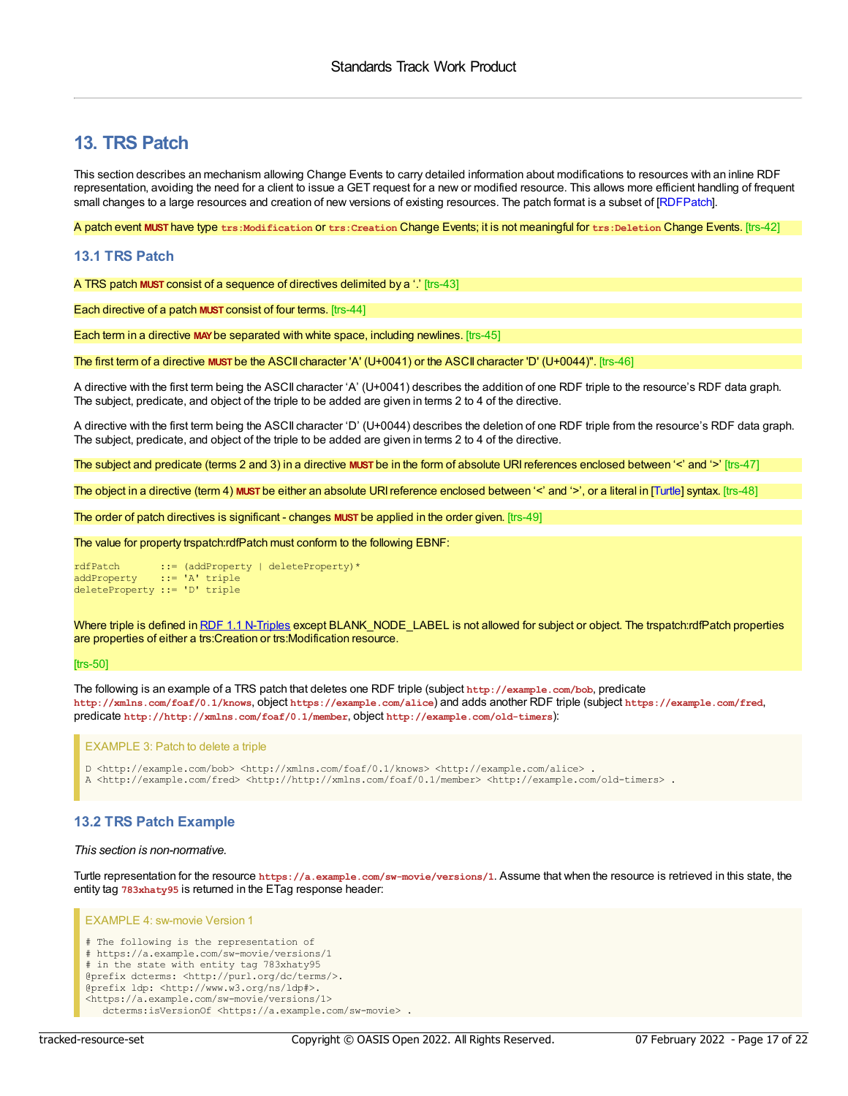# <span id="page-16-0"></span>**13. TRS Patch**

This section describes an mechanism allowing Change Events to carry detailed information about modifications to resources with an inline RDF representation, avoiding the need for a client to issue a GET request for a new or modified resource. This allows more efficient handling of frequent small changes to a large resources and creation of new versions of existing resources. The patch format is a subset of [\[RDFPatch](#page-21-11)].

<span id="page-16-2"></span>A patch event **MUST** have type **trs:Modification** or **trs:Creation** Change Events; it is not meaningful for **trs:Deletion** Change Events. [trs-42]

### <span id="page-16-1"></span>**13.1 TRS Patch**

<span id="page-16-3"></span>A TRS patch **MUST** consist of a sequence of directives delimited by a '.' [trs-43]

<span id="page-16-4"></span>Each directive of a patch **MUST** consist of four terms. [trs-44]

<span id="page-16-5"></span>Each term in a directive **MAY**be separated with white space, including newlines. [trs-45]

<span id="page-16-6"></span>The first term of a directive **MUST** be the ASCII character 'A' (U+0041) or the ASCII character 'D' (U+0044)". [trs-46]

A directive with the first term being the ASCII character 'A' (U+0041) describes the addition of one RDF triple to the resource's RDF data graph. The subject, predicate, and object of the triple to be added are given in terms 2 to 4 of the directive.

A directive with the first term being the ASCII character 'D' (U+0044) describes the deletion of one RDF triple from the resource's RDF data graph. The subject, predicate, and object of the triple to be added are given in terms 2 to 4 of the directive.

<span id="page-16-7"></span>The subject and predicate (terms 2 and 3) in a directive **MUST** be in the form of absolute URIreferences enclosed between '<' and '>' [trs-47]

<span id="page-16-8"></span>The object in a directive (term 4) **MUST** be either an absolute URIreference enclosed between '<' and '>', or a literal in [\[Turtle](#page-21-9)] syntax. [trs-48]

<span id="page-16-9"></span>The order of patch directives is significant - changes **MUST** be applied in the order given. [trs-49]

<span id="page-16-10"></span>The value for property trspatch:rdfPatch must conform to the following EBNF:

```
rdfPatch ::= (addProperty | deleteProperty)*
addProperty ::= 'A' triple
deleteProperty ::= 'D' triple
```
Where triple is defined in RDF 1.1 [N-Triples](https://www.w3.org/TR/n-triples/#n-triples-grammar) except BLANK\_NODE\_LABEL is not allowed for subject or object. The trspatch:rdfPatch properties are properties of either a trs:Creation or trs:Modification resource.

#### [trs-50]

The following is an example of a TRS patch that deletes one RDF triple (subject **http://example.com/bob**, predicate **http://xmlns.com/foaf/0.1/knows**, object **https://example.com/alice**) and adds another RDF triple (subject **https://example.com/fred**, predicate **http://http://xmlns.com/foaf/0.1/member**, object **http://example.com/old-timers**):

EXAMPLE 3: Patch to delete a triple

D <http://example.com/bob> <http://xmlns.com/foaf/0.1/knows> <http://example.com/alice> . A <http://example.com/fred> <http://http://xmlns.com/foaf/0.1/member> <http://example.com/old-timers> .

# **13.2 TRS Patch Example**

#### *This section is non-normative.*

Turtle representation for the resource **https://a.example.com/sw-movie/versions/1**. Assume that when the resource is retrieved in this state, the entity tag **783xhaty95** is returned in the ETag response header:

```
EXAMPLE 4: sw-movie Version 1
# The following is the representation of
# https://a.example.com/sw-movie/versions/1
# in the state with entity tag 783xhaty95
@prefix dcterms: <http://purl.org/dc/terms/>.
@prefix ldp: <http://www.w3.org/ns/ldp#>.
<https://a.example.com/sw-movie/versions/1>
  dcterms:isVersionOf <https://a.example.com/sw-movie> .
```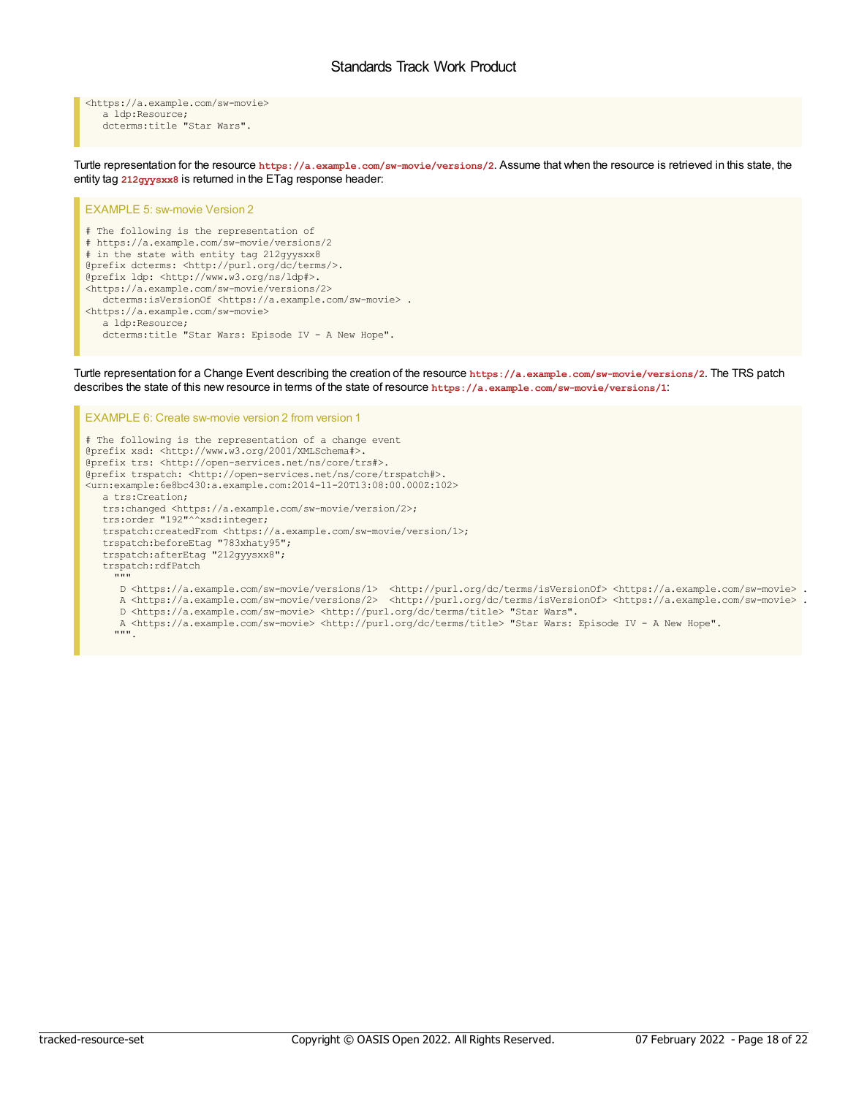<span id="page-17-0"></span><https://a.example.com/sw-movie> a ldp:Resource; dcterms:title "Star Wars".

Turtle representation for the resource **https://a.example.com/sw-movie/versions/2**. Assume that when the resource is retrieved in this state, the entity tag **212gyysxx8** is returned in the ETag response header:

#### EXAMPLE 5: sw-movie Version 2

# The following is the representation of # https://a.example.com/sw-movie/versions/2 # in the state with entity tag 212gyysxx8 @prefix dcterms: <http://purl.org/dc/terms/>. @prefix ldp: <http://www.w3.org/ns/ldp#>. <https://a.example.com/sw-movie/versions/2> dcterms:isVersionOf <https://a.example.com/sw-movie> . <https://a.example.com/sw-movie> a ldp:Resource; dcterms:title "Star Wars: Episode IV - A New Hope".

EXAMPLE 6: Create sw-movie version 2 from version 1

Turtle representation for a Change Event describing the creation of the resource **https://a.example.com/sw-movie/versions/2**. The TRS patch describes the state of this new resource in terms of the state of resource **https://a.example.com/sw-movie/versions/1**:

# The following is the representation of a change event @prefix xsd: <http://www.w3.org/2001/XMLSchema#>. @prefix trs: <http://open-services.net/ns/core/trs#>. @prefix trspatch: <http://open-services.net/ns/core/trspatch#>. <urn:example:6e8bc430:a.example.com:2014-11-20T13:08:00.000Z:102> a trs:Creation; trs:changed <https://a.example.com/sw-movie/version/2>; trs:order "192"^^xsd:integer; trspatch:createdFrom <https://a.example.com/sw-movie/version/1>; trspatch:beforeEtag "783xhaty95"; trspatch:afterEtag "212gyysxx8"; trspatch:rdfPatch """ D <https://a.example.com/sw-movie/versions/1> <http://purl.org/dc/terms/isVersionOf> <https://a.example.com/sw-movie> . A <https://a.example.com/sw-movie/versions/2> <http://purl.org/dc/terms/isVersionOf> <https://a.example.com/sw-movie> . D <https://a.example.com/sw-movie> <http://purl.org/dc/terms/title> "Star Wars". A <https://a.example.com/sw-movie> <http://purl.org/dc/terms/title> "Star Wars: Episode IV - A New Hope". """.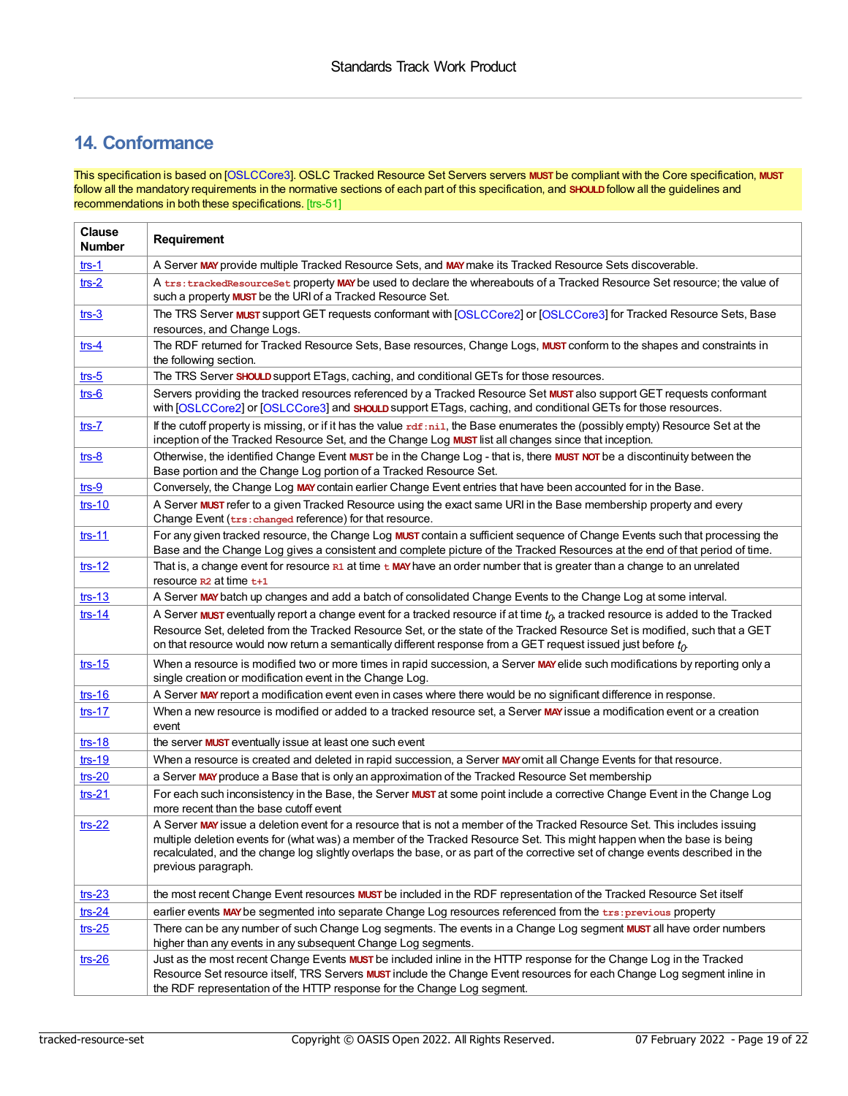# <span id="page-18-0"></span>**14. Conformance**

<span id="page-18-1"></span>This specification is based on [\[OSLCCore3](#page-21-3)]. OSLC Tracked Resource Set Servers servers **MUST** be compliant with the Core specification, **MUST** follow all the mandatory requirements in the normative sections of each part of this specification, and **SHOULD**follow all the guidelines and recommendations in both these specifications. [trs-51]

| <b>Clause</b><br><b>Number</b>   | Requirement                                                                                                                                                                                                                                                                                                                                                                                                    |  |  |
|----------------------------------|----------------------------------------------------------------------------------------------------------------------------------------------------------------------------------------------------------------------------------------------------------------------------------------------------------------------------------------------------------------------------------------------------------------|--|--|
| $trs-1$                          | A Server MAY provide multiple Tracked Resource Sets, and MAY make its Tracked Resource Sets discoverable.                                                                                                                                                                                                                                                                                                      |  |  |
| $trs-2$                          | A trs: trackedResourceSet property MAY be used to declare the whereabouts of a Tracked Resource Set resource; the value of<br>such a property <b>MUST</b> be the URI of a Tracked Resource Set.                                                                                                                                                                                                                |  |  |
| $trs-3$                          | The TRS Server MUST support GET requests conformant with [OSLCCore2] or [OSLCCore3] for Tracked Resource Sets, Base<br>resources, and Change Logs.                                                                                                                                                                                                                                                             |  |  |
| $trs-4$                          | The RDF returned for Tracked Resource Sets, Base resources, Change Logs, MUST conform to the shapes and constraints in<br>the following section.                                                                                                                                                                                                                                                               |  |  |
| $trs-5$                          | The TRS Server SHOULD support ETags, caching, and conditional GETs for those resources.                                                                                                                                                                                                                                                                                                                        |  |  |
| $\mathsf{trs}\text{-}\mathsf{6}$ | Servers providing the tracked resources referenced by a Tracked Resource Set MUST also support GET requests conformant<br>with [OSLCCore2] or [OSLCCore3] and SHOULD support ETags, caching, and conditional GETs for those resources.                                                                                                                                                                         |  |  |
| $trs-7$                          | If the cutoff property is missing, or if it has the value rdf:nil, the Base enumerates the (possibly empty) Resource Set at the<br>inception of the Tracked Resource Set, and the Change Log MUST list all changes since that inception.                                                                                                                                                                       |  |  |
| $trs-8$                          | Otherwise, the identified Change Event MUST be in the Change Log - that is, there MUST NOT be a discontinuity between the<br>Base portion and the Change Log portion of a Tracked Resource Set.                                                                                                                                                                                                                |  |  |
| $trs-9$                          | Conversely, the Change Log MAY contain earlier Change Event entries that have been accounted for in the Base.                                                                                                                                                                                                                                                                                                  |  |  |
| $trs-10$                         | A Server MUST refer to a given Tracked Resource using the exact same URI in the Base membership property and every<br>Change Event (trs: changed reference) for that resource.                                                                                                                                                                                                                                 |  |  |
| $trs-11$                         | For any given tracked resource, the Change Log MUST contain a sufficient sequence of Change Events such that processing the<br>Base and the Change Log gives a consistent and complete picture of the Tracked Resources at the end of that period of time.                                                                                                                                                     |  |  |
| $trs-12$                         | That is, a change event for resource $R1$ at time $t$ MAY have an order number that is greater than a change to an unrelated<br>resource $R2$ at time $t+1$                                                                                                                                                                                                                                                    |  |  |
| $trs-13$                         | A Server MAY batch up changes and add a batch of consolidated Change Events to the Change Log at some interval.                                                                                                                                                                                                                                                                                                |  |  |
| $trs-14$                         | A Server <b>MUST</b> eventually report a change event for a tracked resource if at time $t_0$ , a tracked resource is added to the Tracked                                                                                                                                                                                                                                                                     |  |  |
|                                  | Resource Set, deleted from the Tracked Resource Set, or the state of the Tracked Resource Set is modified, such that a GET<br>on that resource would now return a semantically different response from a GET request issued just before $t_0$                                                                                                                                                                  |  |  |
| $trs-15$                         | When a resource is modified two or more times in rapid succession, a Server MAY elide such modifications by reporting only a<br>single creation or modification event in the Change Log.                                                                                                                                                                                                                       |  |  |
| $trs-16$                         | A Server MAY report a modification event even in cases where there would be no significant difference in response.                                                                                                                                                                                                                                                                                             |  |  |
| $trs-17$                         | When a new resource is modified or added to a tracked resource set, a Server MAY issue a modification event or a creation<br>event                                                                                                                                                                                                                                                                             |  |  |
| $trs-18$                         | the server <b>MUST</b> eventually issue at least one such event                                                                                                                                                                                                                                                                                                                                                |  |  |
| $trs-19$                         | When a resource is created and deleted in rapid succession, a Server MAY omit all Change Events for that resource.                                                                                                                                                                                                                                                                                             |  |  |
| $trs-20$                         | a Server MAY produce a Base that is only an approximation of the Tracked Resource Set membership                                                                                                                                                                                                                                                                                                               |  |  |
| $trs-21$                         | For each such inconsistency in the Base, the Server MUST at some point include a corrective Change Event in the Change Log<br>more recent than the base cutoff event                                                                                                                                                                                                                                           |  |  |
| $trs-22$                         | A Server MAY issue a deletion event for a resource that is not a member of the Tracked Resource Set. This includes issuing<br>multiple deletion events for (what was) a member of the Tracked Resource Set. This might happen when the base is being<br>recalculated, and the change log slightly overlaps the base, or as part of the corrective set of change events described in the<br>previous paragraph. |  |  |
| $trs-23$                         | the most recent Change Event resources MUST be included in the RDF representation of the Tracked Resource Set itself                                                                                                                                                                                                                                                                                           |  |  |
| $trs-24$                         | earlier events MAY be segmented into separate Change Log resources referenced from the trs: previous property                                                                                                                                                                                                                                                                                                  |  |  |
| $trs-25$                         | There can be any number of such Change Log segments. The events in a Change Log segment MUST all have order numbers                                                                                                                                                                                                                                                                                            |  |  |
|                                  | higher than any events in any subsequent Change Log segments.                                                                                                                                                                                                                                                                                                                                                  |  |  |
| $trs-26$                         | Just as the most recent Change Events MUST be included inline in the HTTP response for the Change Log in the Tracked<br>Resource Set resource itself, TRS Servers MUST include the Change Event resources for each Change Log segment inline in<br>the RDF representation of the HTTP response for the Change Log segment.                                                                                     |  |  |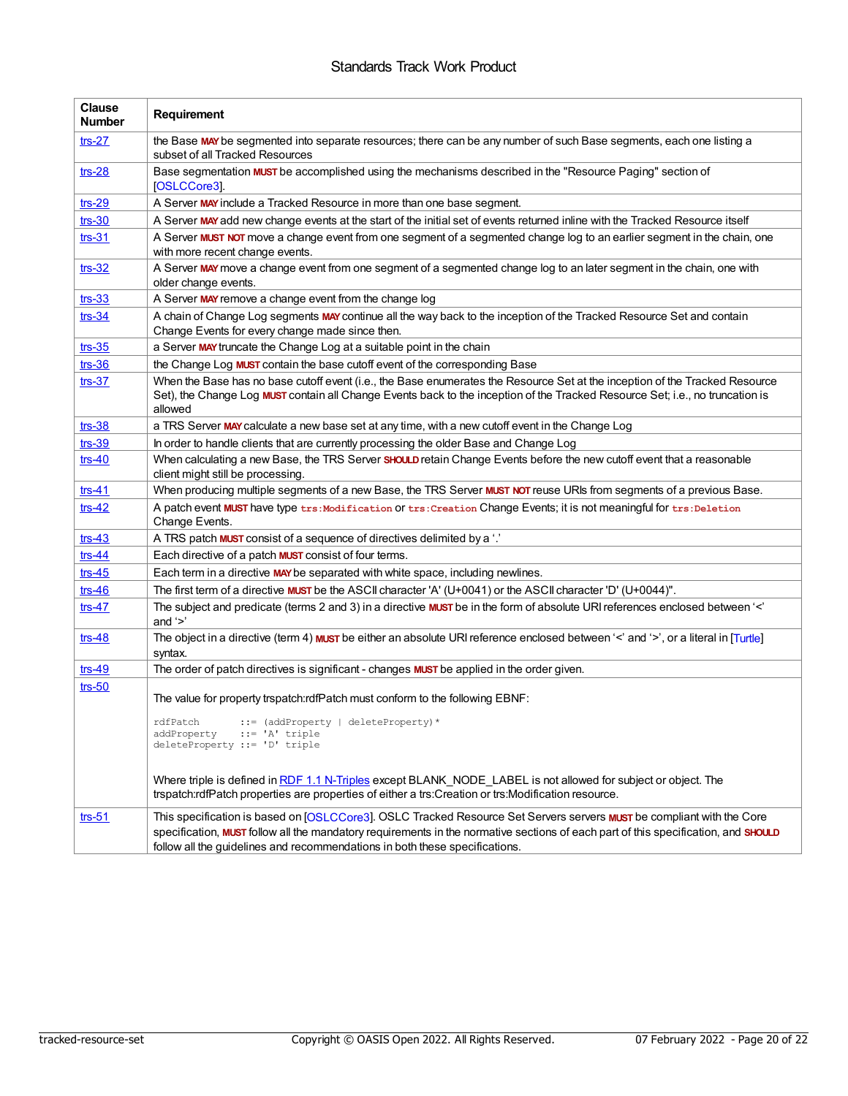# Standards Track Work Product

| <b>Clause</b><br><b>Number</b> | Requirement                                                                                                                                                                                                                                                                                                                                       |  |  |
|--------------------------------|---------------------------------------------------------------------------------------------------------------------------------------------------------------------------------------------------------------------------------------------------------------------------------------------------------------------------------------------------|--|--|
| $trs-27$                       | the Base MAY be segmented into separate resources; there can be any number of such Base segments, each one listing a<br>subset of all Tracked Resources                                                                                                                                                                                           |  |  |
| $trs-28$                       | Base segmentation MUST be accomplished using the mechanisms described in the "Resource Paging" section of<br>[OSLCCore3].                                                                                                                                                                                                                         |  |  |
| $trs-29$                       | A Server MAY include a Tracked Resource in more than one base segment.                                                                                                                                                                                                                                                                            |  |  |
| $trs-30$                       | A Server MAY add new change events at the start of the initial set of events returned inline with the Tracked Resource itself                                                                                                                                                                                                                     |  |  |
| $trs-31$                       | A Server MUST NOT move a change event from one segment of a segmented change log to an earlier segment in the chain, one<br>with more recent change events.                                                                                                                                                                                       |  |  |
| $trs-32$                       | A Server MAY move a change event from one segment of a segmented change log to an later segment in the chain, one with<br>older change events.                                                                                                                                                                                                    |  |  |
| $trs-33$                       | A Server MAY remove a change event from the change log                                                                                                                                                                                                                                                                                            |  |  |
| $trs-34$                       | A chain of Change Log segments MAY continue all the way back to the inception of the Tracked Resource Set and contain<br>Change Events for every change made since then.                                                                                                                                                                          |  |  |
| $trs-35$                       | a Server MAY truncate the Change Log at a suitable point in the chain                                                                                                                                                                                                                                                                             |  |  |
| $trs-36$                       | the Change Log MUST contain the base cutoff event of the corresponding Base                                                                                                                                                                                                                                                                       |  |  |
| $trs-37$                       | When the Base has no base cutoff event (i.e., the Base enumerates the Resource Set at the inception of the Tracked Resource<br>Set), the Change Log MUST contain all Change Events back to the inception of the Tracked Resource Set; i.e., no truncation is<br>allowed                                                                           |  |  |
| $trs-38$                       | a TRS Server MAY calculate a new base set at any time, with a new cutoff event in the Change Log                                                                                                                                                                                                                                                  |  |  |
| $trs-39$                       | In order to handle clients that are currently processing the older Base and Change Log                                                                                                                                                                                                                                                            |  |  |
| $trs-40$                       | When calculating a new Base, the TRS Server SHOULD retain Change Events before the new cutoff event that a reasonable<br>client might still be processing.                                                                                                                                                                                        |  |  |
| $trs-41$                       | When producing multiple segments of a new Base, the TRS Server MUST NOT reuse URIs from segments of a previous Base.                                                                                                                                                                                                                              |  |  |
| $trs-42$                       | A patch event MUST have type trs: Modification OT trs: Creation Change Events; it is not meaningful for trs: Deletion<br>Change Events.                                                                                                                                                                                                           |  |  |
| $trs-43$                       | A TRS patch <b>MUST</b> consist of a sequence of directives delimited by a '.'                                                                                                                                                                                                                                                                    |  |  |
| $trs-44$                       | Each directive of a patch <b>MUST</b> consist of four terms.                                                                                                                                                                                                                                                                                      |  |  |
| $trs-45$                       | Each term in a directive MAY be separated with white space, including newlines.                                                                                                                                                                                                                                                                   |  |  |
| $trs-46$                       | The first term of a directive <b>MUST</b> be the ASCII character 'A' $(U+0041)$ or the ASCII character 'D' $(U+0044)$ ".                                                                                                                                                                                                                          |  |  |
| $trs-47$                       | The subject and predicate (terms 2 and 3) in a directive MUST be in the form of absolute URI references enclosed between '<'<br>and $\leq$                                                                                                                                                                                                        |  |  |
| $trs-48$                       | The object in a directive (term 4) <b>MUST</b> be either an absolute URI reference enclosed between '<' and '>', or a literal in [Turtle]<br>syntax.                                                                                                                                                                                              |  |  |
| $trs-49$                       | The order of patch directives is significant - changes MUST be applied in the order given.                                                                                                                                                                                                                                                        |  |  |
| $trs-50$                       | The value for property trspatch:rdfPatch must conform to the following EBNF:                                                                                                                                                                                                                                                                      |  |  |
|                                | ::= (addProperty   deleteProperty) *<br>rdfPatch<br>addProperty ::= 'A' triple<br>deleteProperty ::= 'D' triple                                                                                                                                                                                                                                   |  |  |
|                                | Where triple is defined in RDF 1.1 N-Triples except BLANK NODE LABEL is not allowed for subject or object. The<br>trspatch:rdfPatch properties are properties of either a trs:Creation or trs:Modification resource.                                                                                                                              |  |  |
| $trs-51$                       | This specification is based on [OSLCCore3]. OSLC Tracked Resource Set Servers servers <b>MUST</b> be compliant with the Core<br>specification, MUST follow all the mandatory requirements in the normative sections of each part of this specification, and SHOULD<br>follow all the guidelines and recommendations in both these specifications. |  |  |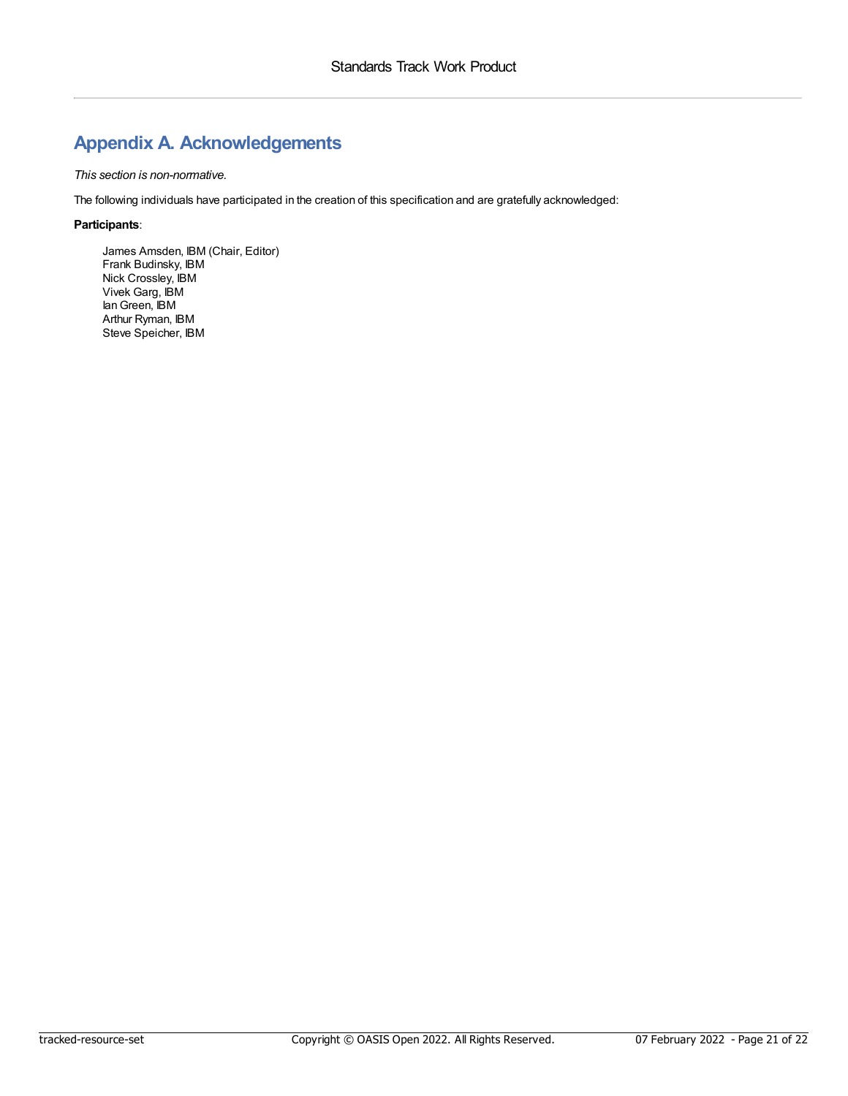# <span id="page-20-0"></span>**Appendix A. Acknowledgements**

### *This section is non-normative.*

The following individuals have participated in the creation of this specification and are gratefully acknowledged:

### **Participants**:

James Amsden, IBM (Chair, Editor) Frank Budinsky, IBM Nick Crossley, IBM Vivek Garg, IBM IanGreen, IBM Arthur Ryman, IBM Steve Speicher, IBM